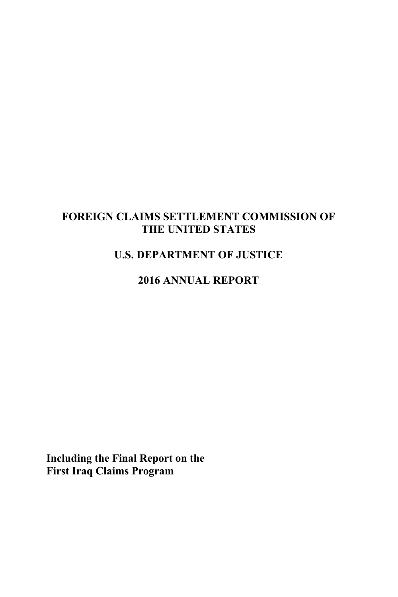### **FOREIGN CLAIMS SETTLEMENT COMMISSION OF THE UNITED STATES**

# **U.S. DEPARTMENT OF JUSTICE**

### **2016 ANNUAL REPORT**

**Including the Final Report on the First Iraq Claims Program**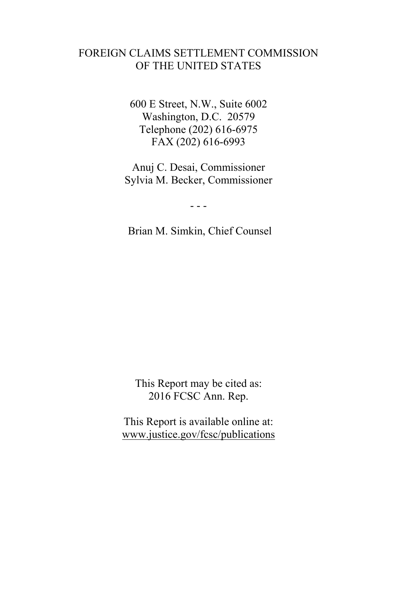### FOREIGN CLAIMS SETTLEMENT COMMISSION OF THE UNITED STATES

600 E Street, N.W., Suite 6002 Washington, D.C. 20579 Telephone (202) 616-6975 FAX (202) 616-6993

Anuj C. Desai, Commissioner Sylvia M. Becker, Commissioner

- - -

Brian M. Simkin, Chief Counsel

This Report may be cited as: 2016 FCSC Ann. Rep.

This Report is available online at: www.justice.gov/fcsc/publications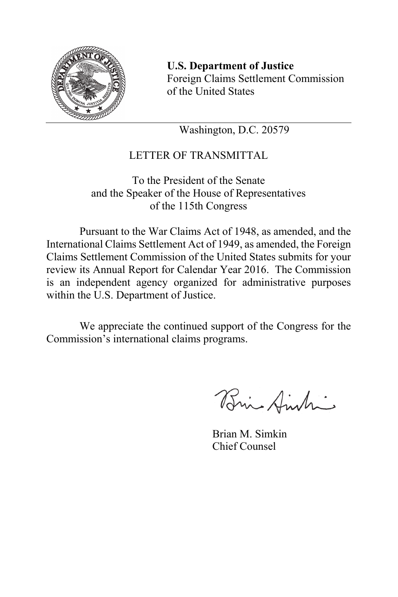

**U.S. Department of Justice** Foreign Claims Settlement Commission of the United States

Washington, D.C. 20579

## LETTER OF TRANSMITTAL

To the President of the Senate and the Speaker of the House of Representatives of the 115th Congress

 Pursuant to the War Claims Act of 1948, as amended, and the International Claims Settlement Act of 1949, as amended, the Foreign Claims Settlement Commission of the United States submits for your review its Annual Report for Calendar Year 2016. The Commission is an independent agency organized for administrative purposes within the U.S. Department of Justice.

 We appreciate the continued support of the Congress for the Commission's international claims programs.

Bri Amtri

 Brian M. Simkin Chief Counsel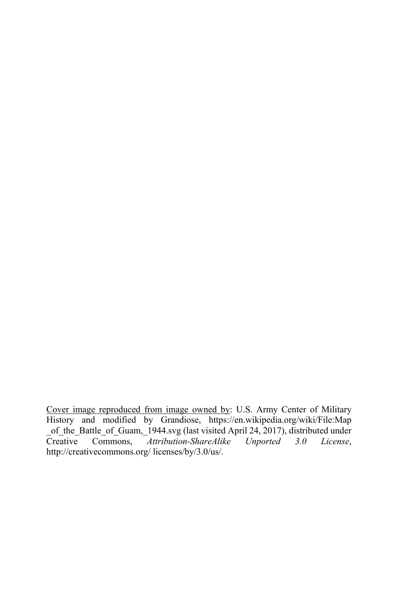Cover image reproduced from image owned by: U.S. Army Center of Military History and modified by Grandiose, https://en.wikipedia.org/wiki/File:Map \_of\_the\_Battle\_of\_Guam,\_1944.svg (last visited April 24, 2017), distributed under<br>Creative Commons, *Attribution-ShareAlike Unported* 3.0 License, -<br>Attribution-ShareAlike Unported 3.0 License, http://creativecommons.org/ licenses/by/3.0/us/.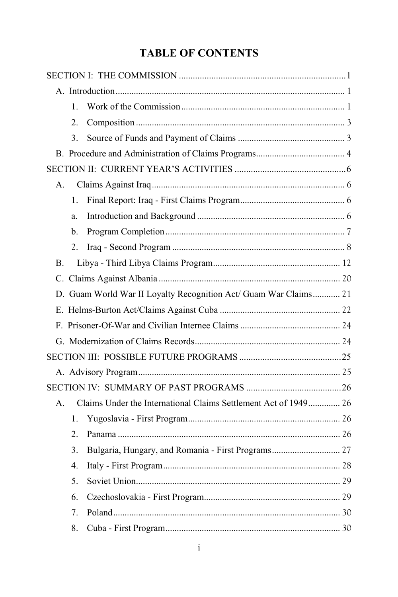# **TABLE OF CONTENTS**

| $\mathbf{1}$ .                                                        |  |
|-----------------------------------------------------------------------|--|
| 2.                                                                    |  |
| 3.                                                                    |  |
|                                                                       |  |
|                                                                       |  |
| A.                                                                    |  |
| 1.                                                                    |  |
| a.                                                                    |  |
| b.                                                                    |  |
| 2.                                                                    |  |
| В.                                                                    |  |
|                                                                       |  |
| D. Guam World War II Loyalty Recognition Act/ Guam War Claims 21      |  |
|                                                                       |  |
|                                                                       |  |
|                                                                       |  |
|                                                                       |  |
|                                                                       |  |
|                                                                       |  |
| Claims Under the International Claims Settlement Act of 1949 26<br>A. |  |
| 1.                                                                    |  |
| 2.                                                                    |  |
| Bulgaria, Hungary, and Romania - First Programs 27<br>3.              |  |
| $\overline{4}$ .                                                      |  |
| 5.                                                                    |  |
| 6.                                                                    |  |
| 7.                                                                    |  |
| 8.                                                                    |  |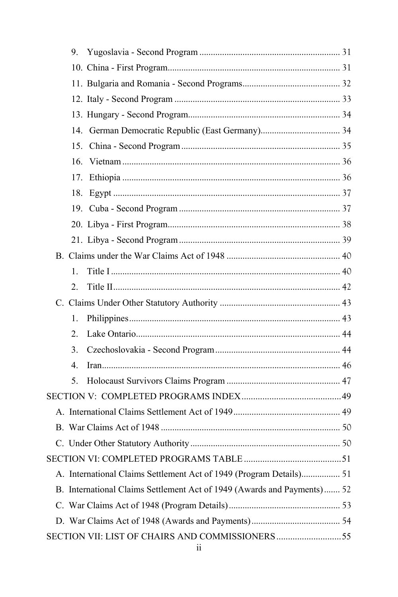| 9.                                                                      |  |
|-------------------------------------------------------------------------|--|
|                                                                         |  |
|                                                                         |  |
|                                                                         |  |
|                                                                         |  |
|                                                                         |  |
|                                                                         |  |
|                                                                         |  |
| 17.                                                                     |  |
|                                                                         |  |
|                                                                         |  |
|                                                                         |  |
|                                                                         |  |
|                                                                         |  |
| 1.                                                                      |  |
| 2.                                                                      |  |
|                                                                         |  |
| 1.                                                                      |  |
| 2.                                                                      |  |
| $\mathcal{E}$                                                           |  |
| $\mathbf{4}$ .                                                          |  |
| 5.                                                                      |  |
|                                                                         |  |
|                                                                         |  |
|                                                                         |  |
|                                                                         |  |
|                                                                         |  |
| A. International Claims Settlement Act of 1949 (Program Details) 51     |  |
| B. International Claims Settlement Act of 1949 (Awards and Payments) 52 |  |
|                                                                         |  |
|                                                                         |  |
| SECTION VII: LIST OF CHAIRS AND COMMISSIONERS55                         |  |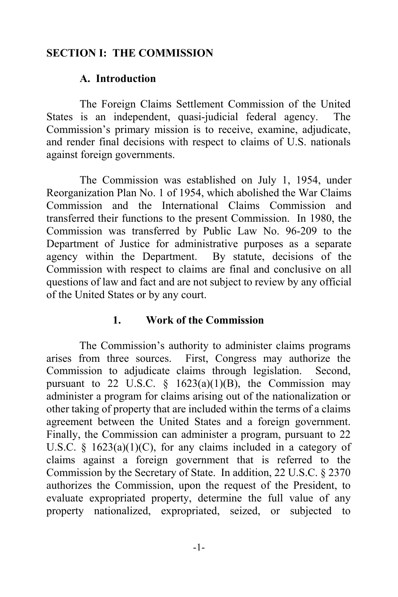### **SECTION I: THE COMMISSION**

#### **A. Introduction**

 The Foreign Claims Settlement Commission of the United States is an independent, quasi-judicial federal agency. The Commission's primary mission is to receive, examine, adjudicate, and render final decisions with respect to claims of U.S. nationals against foreign governments.

The Commission was established on July 1, 1954, under Reorganization Plan No. 1 of 1954, which abolished the War Claims Commission and the International Claims Commission and transferred their functions to the present Commission. In 1980, the Commission was transferred by Public Law No. 96-209 to the Department of Justice for administrative purposes as a separate agency within the Department. By statute, decisions of the Commission with respect to claims are final and conclusive on all questions of law and fact and are not subject to review by any official of the United States or by any court.

#### **1. Work of the Commission**

 The Commission's authority to administer claims programs arises from three sources. First, Congress may authorize the Commission to adjudicate claims through legislation. Second, pursuant to 22 U.S.C.  $\frac{8}{9}$  1623(a)(1)(B), the Commission may administer a program for claims arising out of the nationalization or other taking of property that are included within the terms of a claims agreement between the United States and a foreign government. Finally, the Commission can administer a program, pursuant to 22 U.S.C.  $\S$  1623(a)(1)(C), for any claims included in a category of claims against a foreign government that is referred to the Commission by the Secretary of State. In addition, 22 U.S.C. § 2370 authorizes the Commission, upon the request of the President, to evaluate expropriated property, determine the full value of any property nationalized, expropriated, seized, or subjected to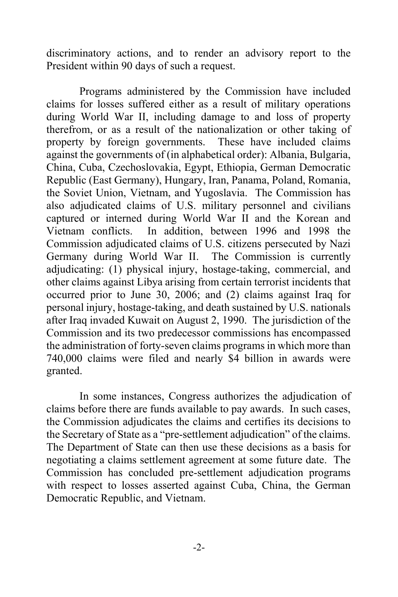discriminatory actions, and to render an advisory report to the President within 90 days of such a request.

 Programs administered by the Commission have included claims for losses suffered either as a result of military operations during World War II, including damage to and loss of property therefrom, or as a result of the nationalization or other taking of property by foreign governments. These have included claims against the governments of (in alphabetical order): Albania, Bulgaria, China, Cuba, Czechoslovakia, Egypt, Ethiopia, German Democratic Republic (East Germany), Hungary, Iran, Panama, Poland, Romania, the Soviet Union, Vietnam, and Yugoslavia. The Commission has also adjudicated claims of U.S. military personnel and civilians captured or interned during World War II and the Korean and Vietnam conflicts. In addition, between 1996 and 1998 the Commission adjudicated claims of U.S. citizens persecuted by Nazi Germany during World War II. The Commission is currently adjudicating: (1) physical injury, hostage-taking, commercial, and other claims against Libya arising from certain terrorist incidents that occurred prior to June 30, 2006; and (2) claims against Iraq for personal injury, hostage-taking, and death sustained by U.S. nationals after Iraq invaded Kuwait on August 2, 1990. The jurisdiction of the Commission and its two predecessor commissions has encompassed the administration of forty-seven claims programs in which more than 740,000 claims were filed and nearly \$4 billion in awards were granted.

 In some instances, Congress authorizes the adjudication of claims before there are funds available to pay awards. In such cases, the Commission adjudicates the claims and certifies its decisions to the Secretary of State as a "pre-settlement adjudication" of the claims. The Department of State can then use these decisions as a basis for negotiating a claims settlement agreement at some future date. The Commission has concluded pre-settlement adjudication programs with respect to losses asserted against Cuba, China, the German Democratic Republic, and Vietnam.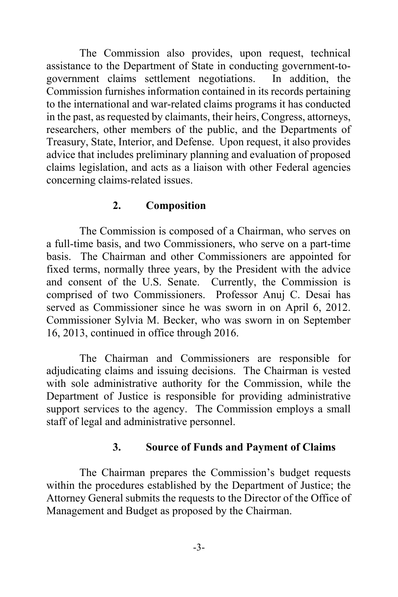The Commission also provides, upon request, technical assistance to the Department of State in conducting government-togovernment claims settlement negotiations. In addition, the Commission furnishes information contained in its records pertaining to the international and war-related claims programs it has conducted in the past, as requested by claimants, their heirs, Congress, attorneys, researchers, other members of the public, and the Departments of Treasury, State, Interior, and Defense. Upon request, it also provides advice that includes preliminary planning and evaluation of proposed claims legislation, and acts as a liaison with other Federal agencies concerning claims-related issues.

### **2. Composition**

 The Commission is composed of a Chairman, who serves on a full-time basis, and two Commissioners, who serve on a part-time basis. The Chairman and other Commissioners are appointed for fixed terms, normally three years, by the President with the advice and consent of the U.S. Senate. Currently, the Commission is comprised of two Commissioners. Professor Anuj C. Desai has served as Commissioner since he was sworn in on April 6, 2012. Commissioner Sylvia M. Becker, who was sworn in on September 16, 2013, continued in office through 2016.

 The Chairman and Commissioners are responsible for adjudicating claims and issuing decisions. The Chairman is vested with sole administrative authority for the Commission, while the Department of Justice is responsible for providing administrative support services to the agency. The Commission employs a small staff of legal and administrative personnel.

### **3. Source of Funds and Payment of Claims**

 The Chairman prepares the Commission's budget requests within the procedures established by the Department of Justice; the Attorney General submits the requests to the Director of the Office of Management and Budget as proposed by the Chairman.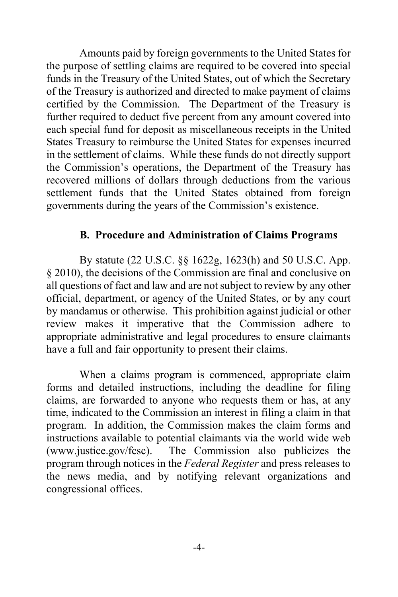Amounts paid by foreign governments to the United States for the purpose of settling claims are required to be covered into special funds in the Treasury of the United States, out of which the Secretary of the Treasury is authorized and directed to make payment of claims certified by the Commission. The Department of the Treasury is further required to deduct five percent from any amount covered into each special fund for deposit as miscellaneous receipts in the United States Treasury to reimburse the United States for expenses incurred in the settlement of claims. While these funds do not directly support the Commission's operations, the Department of the Treasury has recovered millions of dollars through deductions from the various settlement funds that the United States obtained from foreign governments during the years of the Commission's existence.

#### **B. Procedure and Administration of Claims Programs**

 By statute (22 U.S.C. §§ 1622g, 1623(h) and 50 U.S.C. App. § 2010), the decisions of the Commission are final and conclusive on all questions of fact and law and are not subject to review by any other official, department, or agency of the United States, or by any court by mandamus or otherwise. This prohibition against judicial or other review makes it imperative that the Commission adhere to appropriate administrative and legal procedures to ensure claimants have a full and fair opportunity to present their claims.

 When a claims program is commenced, appropriate claim forms and detailed instructions, including the deadline for filing claims, are forwarded to anyone who requests them or has, at any time, indicated to the Commission an interest in filing a claim in that program. In addition, the Commission makes the claim forms and instructions available to potential claimants via the world wide web (www.justice.gov/fcsc). The Commission also publicizes the program through notices in the *Federal Register* and press releases to the news media, and by notifying relevant organizations and congressional offices.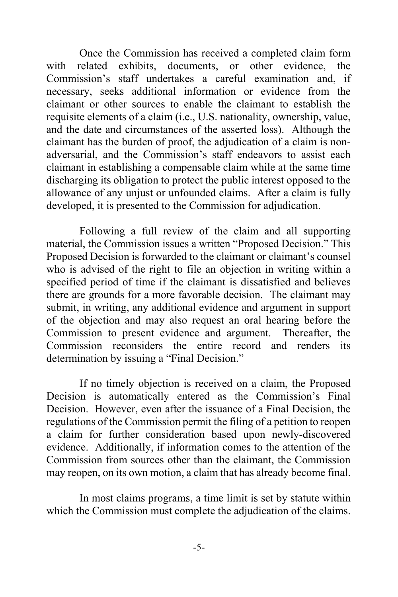Once the Commission has received a completed claim form with related exhibits, documents, or other evidence, the Commission's staff undertakes a careful examination and, if necessary, seeks additional information or evidence from the claimant or other sources to enable the claimant to establish the requisite elements of a claim (i.e., U.S. nationality, ownership, value, and the date and circumstances of the asserted loss). Although the claimant has the burden of proof, the adjudication of a claim is nonadversarial, and the Commission's staff endeavors to assist each claimant in establishing a compensable claim while at the same time discharging its obligation to protect the public interest opposed to the allowance of any unjust or unfounded claims. After a claim is fully developed, it is presented to the Commission for adjudication.

 Following a full review of the claim and all supporting material, the Commission issues a written "Proposed Decision." This Proposed Decision is forwarded to the claimant or claimant's counsel who is advised of the right to file an objection in writing within a specified period of time if the claimant is dissatisfied and believes there are grounds for a more favorable decision. The claimant may submit, in writing, any additional evidence and argument in support of the objection and may also request an oral hearing before the Commission to present evidence and argument. Thereafter, the Commission reconsiders the entire record and renders its determination by issuing a "Final Decision."

 If no timely objection is received on a claim, the Proposed Decision is automatically entered as the Commission's Final Decision. However, even after the issuance of a Final Decision, the regulations of the Commission permit the filing of a petition to reopen a claim for further consideration based upon newly-discovered evidence. Additionally, if information comes to the attention of the Commission from sources other than the claimant, the Commission may reopen, on its own motion, a claim that has already become final.

 In most claims programs, a time limit is set by statute within which the Commission must complete the adjudication of the claims.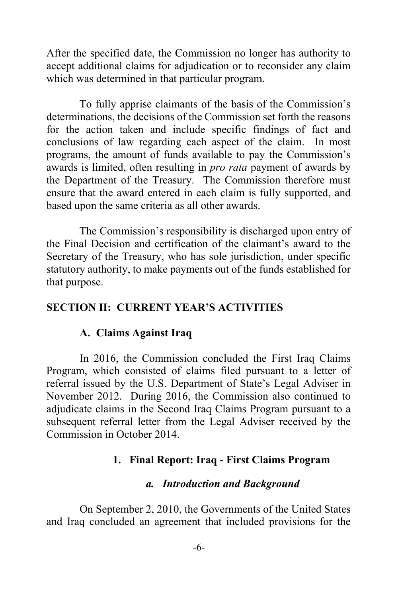After the specified date, the Commission no longer has authority to accept additional claims for adjudication or to reconsider any claim which was determined in that particular program.

 To fully apprise claimants of the basis of the Commission's determinations, the decisions of the Commission set forth the reasons for the action taken and include specific findings of fact and conclusions of law regarding each aspect of the claim. In most programs, the amount of funds available to pay the Commission's awards is limited, often resulting in *pro rata* payment of awards by the Department of the Treasury. The Commission therefore must ensure that the award entered in each claim is fully supported, and based upon the same criteria as all other awards.

 The Commission's responsibility is discharged upon entry of the Final Decision and certification of the claimant's award to the Secretary of the Treasury, who has sole jurisdiction, under specific statutory authority, to make payments out of the funds established for that purpose.

#### **SECTION II: CURRENT YEAR'S ACTIVITIES**

### **A. Claims Against Iraq**

 In 2016, the Commission concluded the First Iraq Claims Program, which consisted of claims filed pursuant to a letter of referral issued by the U.S. Department of State's Legal Adviser in November 2012. During 2016, the Commission also continued to adjudicate claims in the Second Iraq Claims Program pursuant to a subsequent referral letter from the Legal Adviser received by the Commission in October 2014.

#### **1. Final Report: Iraq - First Claims Program**

#### *a. Introduction and Background*

 On September 2, 2010, the Governments of the United States and Iraq concluded an agreement that included provisions for the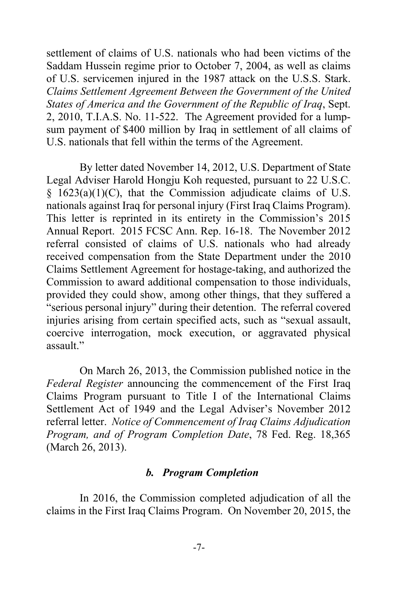settlement of claims of U.S. nationals who had been victims of the Saddam Hussein regime prior to October 7, 2004, as well as claims of U.S. servicemen injured in the 1987 attack on the U.S.S. Stark. *Claims Settlement Agreement Between the Government of the United States of America and the Government of the Republic of Iraq*, Sept. 2, 2010, T.I.A.S. No. 11-522. The Agreement provided for a lumpsum payment of \$400 million by Iraq in settlement of all claims of U.S. nationals that fell within the terms of the Agreement.

 By letter dated November 14, 2012, U.S. Department of State Legal Adviser Harold Hongju Koh requested, pursuant to 22 U.S.C.  $§$  1623(a)(1)(C), that the Commission adjudicate claims of U.S. nationals against Iraq for personal injury (First Iraq Claims Program). This letter is reprinted in its entirety in the Commission's 2015 Annual Report. 2015 FCSC Ann. Rep. 16-18. The November 2012 referral consisted of claims of U.S. nationals who had already received compensation from the State Department under the 2010 Claims Settlement Agreement for hostage-taking, and authorized the Commission to award additional compensation to those individuals, provided they could show, among other things, that they suffered a "serious personal injury" during their detention. The referral covered injuries arising from certain specified acts, such as "sexual assault, coercive interrogation, mock execution, or aggravated physical assault."

 On March 26, 2013, the Commission published notice in the *Federal Register* announcing the commencement of the First Iraq Claims Program pursuant to Title I of the International Claims Settlement Act of 1949 and the Legal Adviser's November 2012 referral letter. *Notice of Commencement of Iraq Claims Adjudication Program, and of Program Completion Date*, 78 Fed. Reg. 18,365 (March 26, 2013).

#### *b. Program Completion*

 In 2016, the Commission completed adjudication of all the claims in the First Iraq Claims Program. On November 20, 2015, the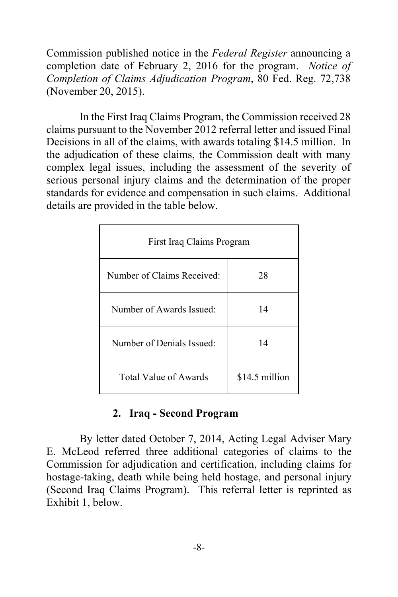Commission published notice in the *Federal Register* announcing a completion date of February 2, 2016 for the program. *Notice of Completion of Claims Adjudication Program*, 80 Fed. Reg. 72,738 (November 20, 2015).

 In the First Iraq Claims Program, the Commission received 28 claims pursuant to the November 2012 referral letter and issued Final Decisions in all of the claims, with awards totaling \$14.5 million. In the adjudication of these claims, the Commission dealt with many complex legal issues, including the assessment of the severity of serious personal injury claims and the determination of the proper standards for evidence and compensation in such claims. Additional details are provided in the table below.

| First Iraq Claims Program  |                |  |  |
|----------------------------|----------------|--|--|
| Number of Claims Received: | 28             |  |  |
| Number of Awards Issued:   | 14             |  |  |
| Number of Denials Issued:  | 14             |  |  |
| Total Value of Awards      | \$14.5 million |  |  |

### **2. Iraq - Second Program**

 By letter dated October 7, 2014, Acting Legal Adviser Mary E. McLeod referred three additional categories of claims to the Commission for adjudication and certification, including claims for hostage-taking, death while being held hostage, and personal injury (Second Iraq Claims Program). This referral letter is reprinted as Exhibit 1, below.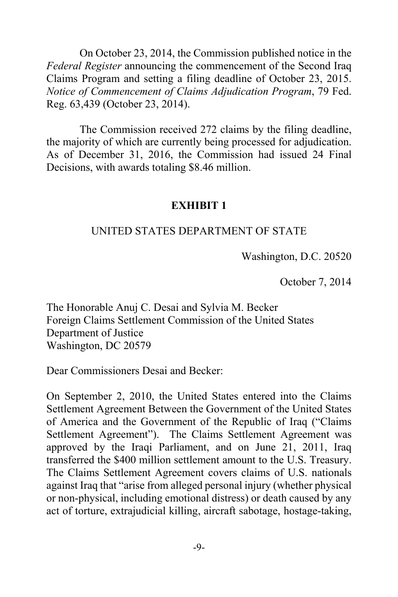On October 23, 2014, the Commission published notice in the *Federal Register* announcing the commencement of the Second Iraq Claims Program and setting a filing deadline of October 23, 2015. *Notice of Commencement of Claims Adjudication Program*, 79 Fed. Reg. 63,439 (October 23, 2014).

The Commission received 272 claims by the filing deadline, the majority of which are currently being processed for adjudication. As of December 31, 2016, the Commission had issued 24 Final Decisions, with awards totaling \$8.46 million.

#### **EXHIBIT 1**

#### UNITED STATES DEPARTMENT OF STATE

Washington, D.C. 20520

October 7, 2014

The Honorable Anuj C. Desai and Sylvia M. Becker Foreign Claims Settlement Commission of the United States Department of Justice Washington, DC 20579

Dear Commissioners Desai and Becker:

On September 2, 2010, the United States entered into the Claims Settlement Agreement Between the Government of the United States of America and the Government of the Republic of Iraq ("Claims Settlement Agreement"). The Claims Settlement Agreement was approved by the Iraqi Parliament, and on June 21, 2011, Iraq transferred the \$400 million settlement amount to the U.S. Treasury. The Claims Settlement Agreement covers claims of U.S. nationals against Iraq that "arise from alleged personal injury (whether physical or non-physical, including emotional distress) or death caused by any act of torture, extrajudicial killing, aircraft sabotage, hostage-taking,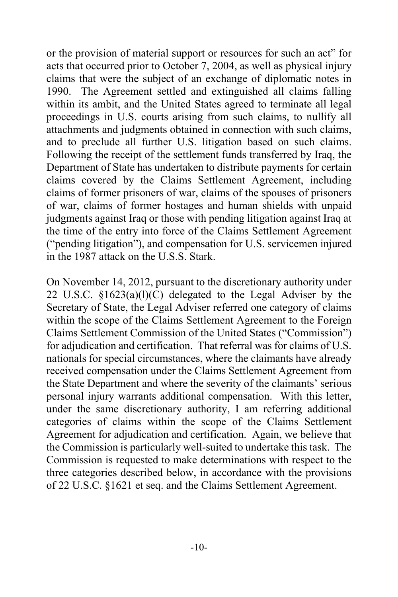or the provision of material support or resources for such an act" for acts that occurred prior to October 7, 2004, as well as physical injury claims that were the subject of an exchange of diplomatic notes in 1990. The Agreement settled and extinguished all claims falling within its ambit, and the United States agreed to terminate all legal proceedings in U.S. courts arising from such claims, to nullify all attachments and judgments obtained in connection with such claims, and to preclude all further U.S. litigation based on such claims. Following the receipt of the settlement funds transferred by Iraq, the Department of State has undertaken to distribute payments for certain claims covered by the Claims Settlement Agreement, including claims of former prisoners of war, claims of the spouses of prisoners of war, claims of former hostages and human shields with unpaid judgments against Iraq or those with pending litigation against Iraq at the time of the entry into force of the Claims Settlement Agreement ("pending litigation"), and compensation for U.S. servicemen injured in the 1987 attack on the U.S.S. Stark.

On November 14, 2012, pursuant to the discretionary authority under 22 U.S.C. §1623(a)(l)(C) delegated to the Legal Adviser by the Secretary of State, the Legal Adviser referred one category of claims within the scope of the Claims Settlement Agreement to the Foreign Claims Settlement Commission of the United States ("Commission") for adjudication and certification. That referral was for claims of U.S. nationals for special circumstances, where the claimants have already received compensation under the Claims Settlement Agreement from the State Department and where the severity of the claimants' serious personal injury warrants additional compensation. With this letter, under the same discretionary authority, I am referring additional categories of claims within the scope of the Claims Settlement Agreement for adjudication and certification. Again, we believe that the Commission is particularly well-suited to undertake this task. The Commission is requested to make determinations with respect to the three categories described below, in accordance with the provisions of 22 U.S.C. §1621 et seq. and the Claims Settlement Agreement.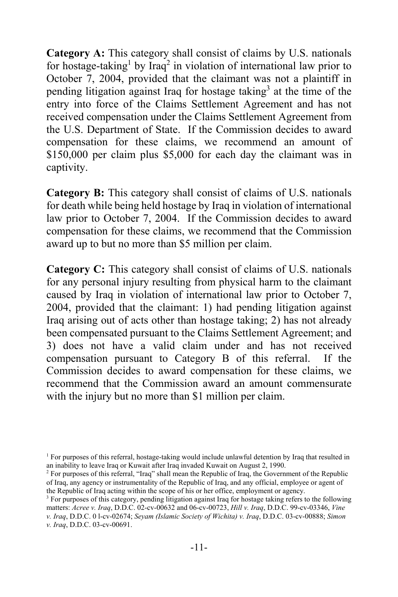**Category A:** This category shall consist of claims by U.S. nationals for hostage-taking<sup>1</sup> by Iraq<sup>2</sup> in violation of international law prior to October 7, 2004, provided that the claimant was not a plaintiff in pending litigation against Iraq for hostage taking<sup>3</sup> at the time of the entry into force of the Claims Settlement Agreement and has not received compensation under the Claims Settlement Agreement from the U.S. Department of State. If the Commission decides to award compensation for these claims, we recommend an amount of \$150,000 per claim plus \$5,000 for each day the claimant was in captivity.

**Category B:** This category shall consist of claims of U.S. nationals for death while being held hostage by Iraq in violation of international law prior to October 7, 2004. If the Commission decides to award compensation for these claims, we recommend that the Commission award up to but no more than \$5 million per claim.

**Category C:** This category shall consist of claims of U.S. nationals for any personal injury resulting from physical harm to the claimant caused by Iraq in violation of international law prior to October 7, 2004, provided that the claimant: 1) had pending litigation against Iraq arising out of acts other than hostage taking; 2) has not already been compensated pursuant to the Claims Settlement Agreement; and 3) does not have a valid claim under and has not received compensation pursuant to Category B of this referral. If the Commission decides to award compensation for these claims, we recommend that the Commission award an amount commensurate with the injury but no more than \$1 million per claim.

<sup>&</sup>lt;sup>1</sup> For purposes of this referral, hostage-taking would include unlawful detention by Iraq that resulted in an inability to leave Iraq or Kuwait after Iraq invaded Kuwait on August 2, 1990. 2

<sup>&</sup>lt;sup>2</sup> For purposes of this referral, "Iraq" shall mean the Republic of Iraq, the Government of the Republic of Iraq, any agency or instrumentality of the Republic of Iraq, and any official, employee or agent of the Republic of Iraq acting within the scope of his or her office, employment or agency.

<sup>&</sup>lt;sup>3</sup> For purposes of this category, pending litigation against Iraq for hostage taking refers to the following matters: *Acree v. Iraq*, D.D.C. 02-cv-00632 and 06-cv-00723, *Hill v. Iraq*, D.D.C. 99-cv-03346, *Vine v. Iraq*, D.D.C. 0 l-cv-02674; *Seyam (Islamic Society of Wichita) v. Iraq*, D.D.C. 03-cv-00888; *Simon v. Iraq*, D.D.C. 03-cv-00691.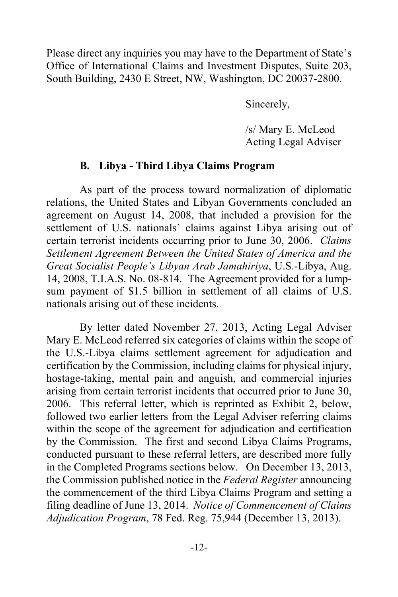Please direct any inquiries you may have to the Department of State's Office of International Claims and Investment Disputes, Suite 203, South Building, 2430 E Street, NW, Washington, DC 20037-2800.

Sincerely,

 /s/ Mary E. McLeod Acting Legal Adviser

### **B. Libya - Third Libya Claims Program**

As part of the process toward normalization of diplomatic relations, the United States and Libyan Governments concluded an agreement on August 14, 2008, that included a provision for the settlement of U.S. nationals' claims against Libya arising out of certain terrorist incidents occurring prior to June 30, 2006. *Claims Settlement Agreement Between the United States of America and the Great Socialist People's Libyan Arab Jamahiriya*, U.S.-Libya, Aug. 14, 2008, T.I.A.S. No. 08-814. The Agreement provided for a lumpsum payment of \$1.5 billion in settlement of all claims of U.S. nationals arising out of these incidents.

By letter dated November 27, 2013, Acting Legal Adviser Mary E. McLeod referred six categories of claims within the scope of the U.S.-Libya claims settlement agreement for adjudication and certification by the Commission, including claims for physical injury, hostage-taking, mental pain and anguish, and commercial injuries arising from certain terrorist incidents that occurred prior to June 30, 2006. This referral letter, which is reprinted as Exhibit 2, below, followed two earlier letters from the Legal Adviser referring claims within the scope of the agreement for adjudication and certification by the Commission. The first and second Libya Claims Programs, conducted pursuant to these referral letters, are described more fully in the Completed Programs sections below. On December 13, 2013, the Commission published notice in the *Federal Register* announcing the commencement of the third Libya Claims Program and setting a filing deadline of June 13, 2014. *Notice of Commencement of Claims Adjudication Program*, 78 Fed. Reg. 75,944 (December 13, 2013).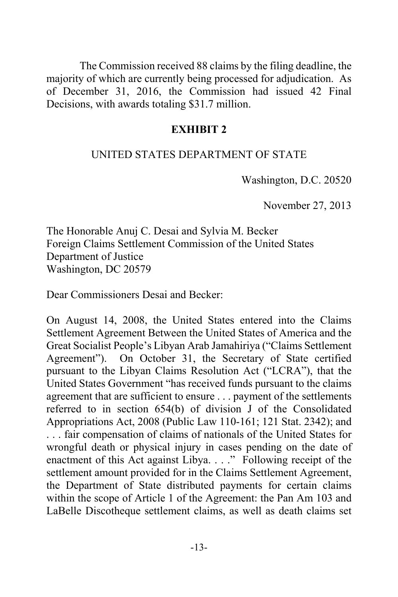The Commission received 88 claims by the filing deadline, the majority of which are currently being processed for adjudication. As of December 31, 2016, the Commission had issued 42 Final Decisions, with awards totaling \$31.7 million.

#### **EXHIBIT 2**

### UNITED STATES DEPARTMENT OF STATE

Washington, D.C. 20520

November 27, 2013

The Honorable Anuj C. Desai and Sylvia M. Becker Foreign Claims Settlement Commission of the United States Department of Justice Washington, DC 20579

Dear Commissioners Desai and Becker:

On August 14, 2008, the United States entered into the Claims Settlement Agreement Between the United States of America and the Great Socialist People's Libyan Arab Jamahiriya ("Claims Settlement Agreement"). On October 31, the Secretary of State certified pursuant to the Libyan Claims Resolution Act ("LCRA"), that the United States Government "has received funds pursuant to the claims agreement that are sufficient to ensure . . . payment of the settlements referred to in section 654(b) of division J of the Consolidated Appropriations Act, 2008 (Public Law 110-161; 121 Stat. 2342); and . . . fair compensation of claims of nationals of the United States for wrongful death or physical injury in cases pending on the date of enactment of this Act against Libya. . . ." Following receipt of the settlement amount provided for in the Claims Settlement Agreement, the Department of State distributed payments for certain claims within the scope of Article 1 of the Agreement: the Pan Am 103 and LaBelle Discotheque settlement claims, as well as death claims set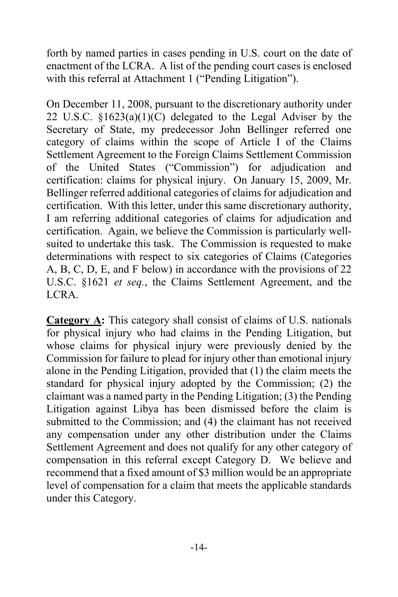forth by named parties in cases pending in U.S. court on the date of enactment of the LCRA. A list of the pending court cases is enclosed with this referral at Attachment 1 ("Pending Litigation").

On December 11, 2008, pursuant to the discretionary authority under 22 U.S.C. §1623(a)(1)(C) delegated to the Legal Adviser by the Secretary of State, my predecessor John Bellinger referred one category of claims within the scope of Article I of the Claims Settlement Agreement to the Foreign Claims Settlement Commission of the United States ("Commission") for adjudication and certification: claims for physical injury. On January 15, 2009, Mr. Bellinger referred additional categories of claims for adjudication and certification. With this letter, under this same discretionary authority, I am referring additional categories of claims for adjudication and certification. Again, we believe the Commission is particularly wellsuited to undertake this task. The Commission is requested to make determinations with respect to six categories of Claims (Categories A, B, C, D, E, and F below) in accordance with the provisions of 22 U.S.C. §1621 *et seq.*, the Claims Settlement Agreement, and the LCRA.

**Category A:** This category shall consist of claims of U.S. nationals for physical injury who had claims in the Pending Litigation, but whose claims for physical injury were previously denied by the Commission for failure to plead for injury other than emotional injury alone in the Pending Litigation, provided that (1) the claim meets the standard for physical injury adopted by the Commission; (2) the claimant was a named party in the Pending Litigation; (3) the Pending Litigation against Libya has been dismissed before the claim is submitted to the Commission; and (4) the claimant has not received any compensation under any other distribution under the Claims Settlement Agreement and does not qualify for any other category of compensation in this referral except Category D. We believe and recommend that a fixed amount of \$3 million would be an appropriate level of compensation for a claim that meets the applicable standards under this Category.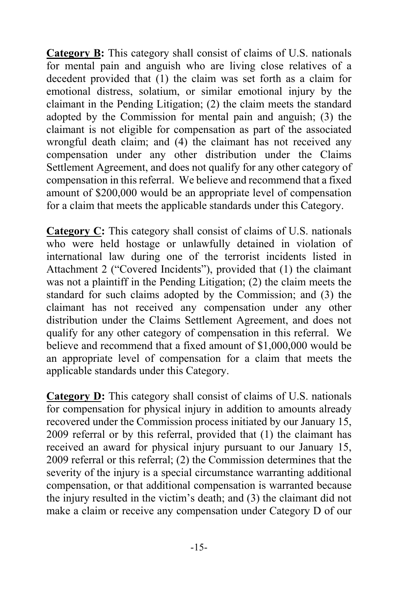**Category B:** This category shall consist of claims of U.S. nationals for mental pain and anguish who are living close relatives of a decedent provided that (1) the claim was set forth as a claim for emotional distress, solatium, or similar emotional injury by the claimant in the Pending Litigation; (2) the claim meets the standard adopted by the Commission for mental pain and anguish; (3) the claimant is not eligible for compensation as part of the associated wrongful death claim; and (4) the claimant has not received any compensation under any other distribution under the Claims Settlement Agreement, and does not qualify for any other category of compensation in this referral. We believe and recommend that a fixed amount of \$200,000 would be an appropriate level of compensation for a claim that meets the applicable standards under this Category.

**Category C:** This category shall consist of claims of U.S. nationals who were held hostage or unlawfully detained in violation of international law during one of the terrorist incidents listed in Attachment 2 ("Covered Incidents"), provided that (1) the claimant was not a plaintiff in the Pending Litigation; (2) the claim meets the standard for such claims adopted by the Commission; and (3) the claimant has not received any compensation under any other distribution under the Claims Settlement Agreement, and does not qualify for any other category of compensation in this referral. We believe and recommend that a fixed amount of \$1,000,000 would be an appropriate level of compensation for a claim that meets the applicable standards under this Category.

**Category D:** This category shall consist of claims of U.S. nationals for compensation for physical injury in addition to amounts already recovered under the Commission process initiated by our January 15, 2009 referral or by this referral, provided that (1) the claimant has received an award for physical injury pursuant to our January 15, 2009 referral or this referral; (2) the Commission determines that the severity of the injury is a special circumstance warranting additional compensation, or that additional compensation is warranted because the injury resulted in the victim's death; and (3) the claimant did not make a claim or receive any compensation under Category D of our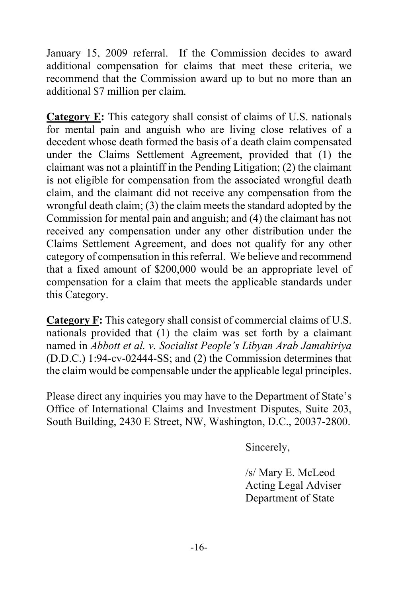January 15, 2009 referral. If the Commission decides to award additional compensation for claims that meet these criteria, we recommend that the Commission award up to but no more than an additional \$7 million per claim.

**Category E:** This category shall consist of claims of U.S. nationals for mental pain and anguish who are living close relatives of a decedent whose death formed the basis of a death claim compensated under the Claims Settlement Agreement, provided that (1) the claimant was not a plaintiff in the Pending Litigation; (2) the claimant is not eligible for compensation from the associated wrongful death claim, and the claimant did not receive any compensation from the wrongful death claim; (3) the claim meets the standard adopted by the Commission for mental pain and anguish; and (4) the claimant has not received any compensation under any other distribution under the Claims Settlement Agreement, and does not qualify for any other category of compensation in this referral. We believe and recommend that a fixed amount of \$200,000 would be an appropriate level of compensation for a claim that meets the applicable standards under this Category.

**Category F:** This category shall consist of commercial claims of U.S. nationals provided that (1) the claim was set forth by a claimant named in *Abbott et al. v. Socialist People's Libyan Arab Jamahiriya*  (D.D.C.) 1:94-cv-02444-SS; and (2) the Commission determines that the claim would be compensable under the applicable legal principles.

Please direct any inquiries you may have to the Department of State's Office of International Claims and Investment Disputes, Suite 203, South Building, 2430 E Street, NW, Washington, D.C., 20037-2800.

Sincerely,

/s/ Mary E. McLeod Acting Legal Adviser Department of State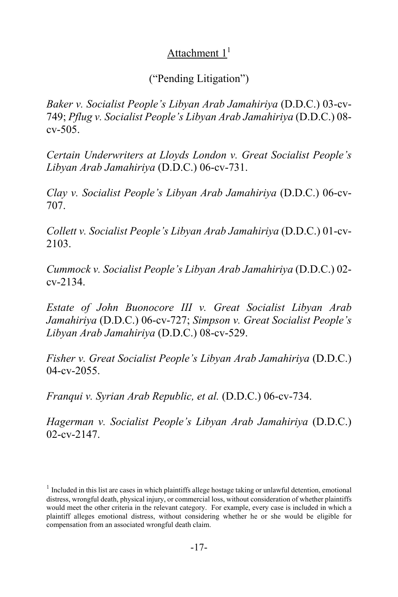# Attachment  $1<sup>1</sup>$

# ("Pending Litigation")

*Baker v. Socialist People's Libyan Arab Jamahiriya* (D.D.C.) 03-cv-749; *Pflug v. Socialist People's Libyan Arab Jamahiriya* (D.D.C.) 08  $cv - 505$ .

*Certain Underwriters at Lloyds London v. Great Socialist People's Libyan Arab Jamahiriya* (D.D.C.) 06-cv-731.

*Clay v. Socialist People's Libyan Arab Jamahiriya* (D.D.C.) 06-cv-707.

*Collett v. Socialist People's Libyan Arab Jamahiriya* (D.D.C.) 01-cv-2103.

*Cummock v. Socialist People's Libyan Arab Jamahiriya* (D.D.C.) 02 cv-2134.

*Estate of John Buonocore III v. Great Socialist Libyan Arab Jamahiriya* (D.D.C.) 06-cv-727; *Simpson v. Great Socialist People's Libyan Arab Jamahiriya* (D.D.C.) 08-cv-529.

*Fisher v. Great Socialist People's Libyan Arab Jamahiriya* (D.D.C.) 04-cv-2055.

*Franqui v. Syrian Arab Republic, et al.* (D.D.C.) 06-cv-734.

*Hagerman v. Socialist People's Libyan Arab Jamahiriya* (D.D.C.) 02-cv-2147.

 $1$  Included in this list are cases in which plaintiffs allege hostage taking or unlawful detention, emotional distress, wrongful death, physical injury, or commercial loss, without consideration of whether plaintiffs would meet the other criteria in the relevant category. For example, every case is included in which a plaintiff alleges emotional distress, without considering whether he or she would be eligible for compensation from an associated wrongful death claim.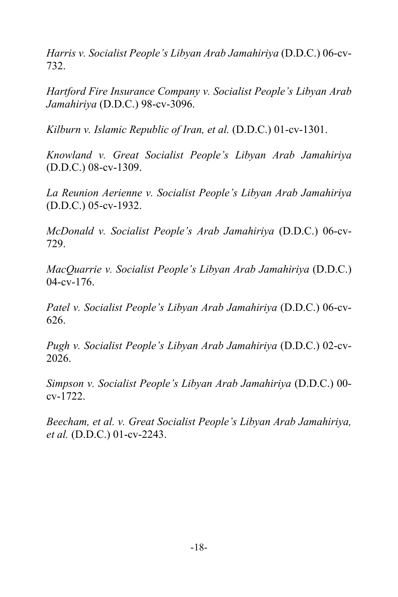*Harris v. Socialist People's Libyan Arab Jamahiriya* (D.D.C.) 06-cv-732.

*Hartford Fire Insurance Company v. Socialist People's Libyan Arab Jamahiriya* (D.D.C.) 98-cv-3096.

*Kilburn v. Islamic Republic of Iran, et al.* (D.D.C.) 01-cv-1301.

*Knowland v. Great Socialist People's Libyan Arab Jamahiriya* (D.D.C.) 08-cv-1309.

*La Reunion Aerienne v. Socialist People's Libyan Arab Jamahiriya* (D.D.C.) 05-cv-1932.

*McDonald v. Socialist People's Arab Jamahiriya* (D.D.C.) 06-cv-729.

*MacQuarrie v. Socialist People's Libyan Arab Jamahiriya* (D.D.C.) 04-cv-176.

*Patel v. Socialist People's Libyan Arab Jamahiriya* (D.D.C.) 06-cv-626.

*Pugh v. Socialist People's Libyan Arab Jamahiriya* (D.D.C.) 02-cv-2026.

*Simpson v. Socialist People's Libyan Arab Jamahiriya* (D.D.C.) 00 cv-1722.

*Beecham, et al. v. Great Socialist People's Libyan Arab Jamahiriya, et al.* (D.D.C.) 01-cv-2243.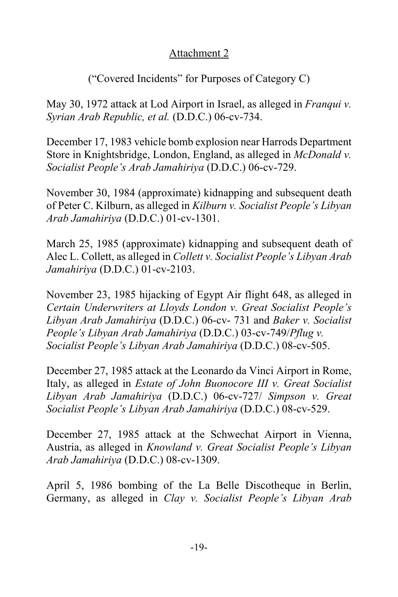# Attachment 2

# ("Covered Incidents" for Purposes of Category C)

May 30, 1972 attack at Lod Airport in Israel, as alleged in *Franqui v. Syrian Arab Republic, et al.* (D.D.C.) 06-cv-734.

December 17, 1983 vehicle bomb explosion near Harrods Department Store in Knightsbridge, London, England, as alleged in *McDonald v. Socialist People's Arab Jamahiriya* (D.D.C.) 06-cv-729.

November 30, 1984 (approximate) kidnapping and subsequent death of Peter C. Kilburn, as alleged in *Kilburn v. Socialist People's Libyan Arab Jamahiriya* (D.D.C.) 01-cv-1301.

March 25, 1985 (approximate) kidnapping and subsequent death of Alec L. Collett, as alleged in *Collett v. Socialist People's Libyan Arab Jamahiriya* (D.D.C.) 01-cv-2103.

November 23, 1985 hijacking of Egypt Air flight 648, as alleged in *Certain Underwriters at Lloyds London v. Great Socialist People's Libyan Arab Jamahiriya* (D.D.C.) 06-cv- 731 and *Baker v. Socialist People's Libyan Arab Jamahiriya* (D.D.C.) 03-cv-749/*Pflug v. Socialist People's Libyan Arab Jamahiriya* (D.D.C.) 08-cv-505.

December 27, 1985 attack at the Leonardo da Vinci Airport in Rome, Italy, as alleged in *Estate of John Buonocore III v. Great Socialist Libyan Arab Jamahiriya* (D.D.C.) 06-cv-727/ *Simpson v. Great Socialist People's Libyan Arab Jamahiriya* (D.D.C.) 08-cv-529.

December 27, 1985 attack at the Schwechat Airport in Vienna, Austria, as alleged in *Knowland v. Great Socialist People's Libyan Arab Jamahiriya* (D.D.C.) 08-cv-1309.

April 5, 1986 bombing of the La Belle Discotheque in Berlin, Germany, as alleged in *Clay v. Socialist People's Libyan Arab*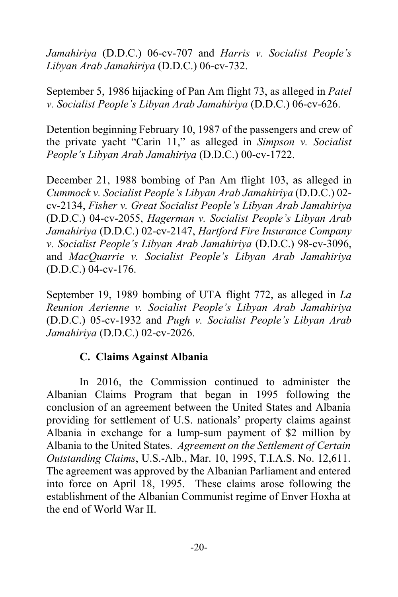*Jamahiriya* (D.D.C.) 06-cv-707 and *Harris v. Socialist People's Libyan Arab Jamahiriya* (D.D.C.) 06-cv-732.

September 5, 1986 hijacking of Pan Am flight 73, as alleged in *Patel v. Socialist People's Libyan Arab Jamahiriya* (D.D.C.) 06-cv-626.

Detention beginning February 10, 1987 of the passengers and crew of the private yacht "Carin 11," as alleged in *Simpson v. Socialist People's Libyan Arab Jamahiriya* (D.D.C.) 00-cv-1722.

December 21, 1988 bombing of Pan Am flight 103, as alleged in *Cummock v. Socialist People's Libyan Arab Jamahiriya* (D.D.C.) 02 cv-2134, *Fisher v. Great Socialist People's Libyan Arab Jamahiriya* (D.D.C.) 04-cv-2055, *Hagerman v. Socialist People's Libyan Arab Jamahiriya* (D.D.C.) 02-cv-2147, *Hartford Fire Insurance Company v. Socialist People's Libyan Arab Jamahiriya* (D.D.C.) 98-cv-3096, and *MacQuarrie v. Socialist People's Libyan Arab Jamahiriya* (D.D.C.) 04-cv-176.

September 19, 1989 bombing of UTA flight 772, as alleged in *La Reunion Aerienne v. Socialist People's Libyan Arab Jamahiriya*  (D.D.C.) 05-cv-1932 and *Pugh v. Socialist People's Libyan Arab Jamahiriya* (D.D.C.) 02-cv-2026.

### **C. Claims Against Albania**

In 2016, the Commission continued to administer the Albanian Claims Program that began in 1995 following the conclusion of an agreement between the United States and Albania providing for settlement of U.S. nationals' property claims against Albania in exchange for a lump-sum payment of \$2 million by Albania to the United States. *Agreement on the Settlement of Certain Outstanding Claims*, U.S.-Alb., Mar. 10, 1995, T.I.A.S. No. 12,611. The agreement was approved by the Albanian Parliament and entered into force on April 18, 1995. These claims arose following the establishment of the Albanian Communist regime of Enver Hoxha at the end of World War II.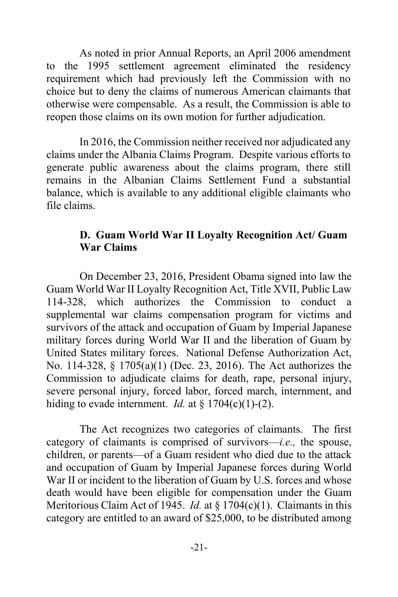As noted in prior Annual Reports, an April 2006 amendment to the 1995 settlement agreement eliminated the residency requirement which had previously left the Commission with no choice but to deny the claims of numerous American claimants that otherwise were compensable. As a result, the Commission is able to reopen those claims on its own motion for further adjudication.

 In 2016, the Commission neither received nor adjudicated any claims under the Albania Claims Program. Despite various efforts to generate public awareness about the claims program, there still remains in the Albanian Claims Settlement Fund a substantial balance, which is available to any additional eligible claimants who file claims.

### **D. Guam World War II Loyalty Recognition Act/ Guam War Claims**

On December 23, 2016, President Obama signed into law the Guam World War II Loyalty Recognition Act, Title XVII, Public Law 114-328, which authorizes the Commission to conduct a supplemental war claims compensation program for victims and survivors of the attack and occupation of Guam by Imperial Japanese military forces during World War II and the liberation of Guam by United States military forces. National Defense Authorization Act, No. 114-328, § 1705(a)(1) (Dec. 23, 2016). The Act authorizes the Commission to adjudicate claims for death, rape, personal injury, severe personal injury, forced labor, forced march, internment, and hiding to evade internment. *Id.* at  $\S 1704(c)(1)-(2)$ .

 The Act recognizes two categories of claimants. The first category of claimants is comprised of survivors—*i.e.,* the spouse, children, or parents—of a Guam resident who died due to the attack and occupation of Guam by Imperial Japanese forces during World War II or incident to the liberation of Guam by U.S. forces and whose death would have been eligible for compensation under the Guam Meritorious Claim Act of 1945. *Id.* at § 1704(c)(1). Claimants in this category are entitled to an award of \$25,000, to be distributed among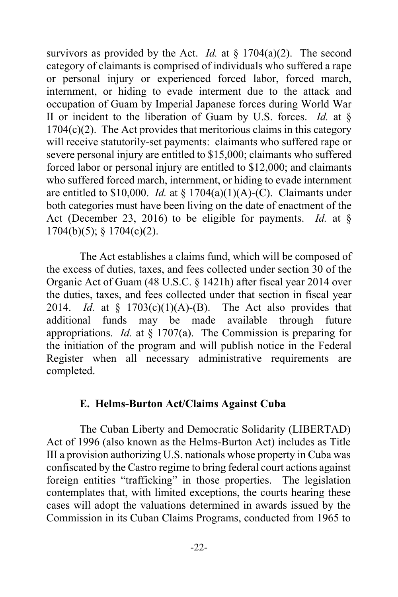survivors as provided by the Act. *Id.* at § 1704(a)(2). The second category of claimants is comprised of individuals who suffered a rape or personal injury or experienced forced labor, forced march, internment, or hiding to evade interment due to the attack and occupation of Guam by Imperial Japanese forces during World War II or incident to the liberation of Guam by U.S. forces. *Id.* at §  $1704(c)(2)$ . The Act provides that meritorious claims in this category will receive statutorily-set payments: claimants who suffered rape or severe personal injury are entitled to \$15,000; claimants who suffered forced labor or personal injury are entitled to \$12,000; and claimants who suffered forced march, internment, or hiding to evade internment are entitled to  $$10,000$ . *Id.* at  $§ 1704(a)(1)(A)-(C)$ . Claimants under both categories must have been living on the date of enactment of the Act (December 23, 2016) to be eligible for payments. *Id.* at § 1704(b)(5); § 1704(c)(2).

The Act establishes a claims fund, which will be composed of the excess of duties, taxes, and fees collected under section 30 of the Organic Act of Guam (48 U.S.C. § 1421h) after fiscal year 2014 over the duties, taxes, and fees collected under that section in fiscal year 2014. *Id.* at § 1703(c)(1)(A)-(B). The Act also provides that additional funds may be made available through future appropriations. *Id.* at § 1707(a). The Commission is preparing for the initiation of the program and will publish notice in the Federal Register when all necessary administrative requirements are completed.

#### **E. Helms-Burton Act/Claims Against Cuba**

 The Cuban Liberty and Democratic Solidarity (LIBERTAD) Act of 1996 (also known as the Helms-Burton Act) includes as Title III a provision authorizing U.S. nationals whose property in Cuba was confiscated by the Castro regime to bring federal court actions against foreign entities "trafficking" in those properties. The legislation contemplates that, with limited exceptions, the courts hearing these cases will adopt the valuations determined in awards issued by the Commission in its Cuban Claims Programs, conducted from 1965 to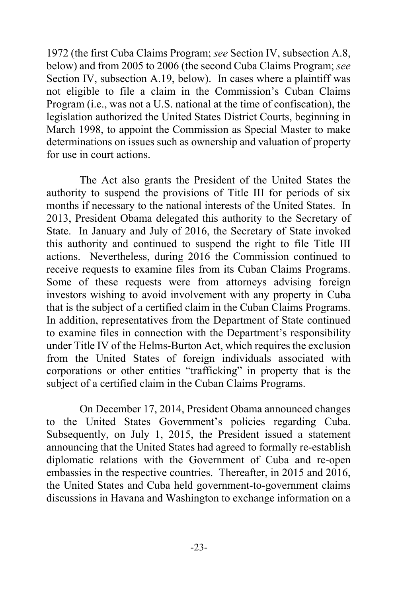1972 (the first Cuba Claims Program; *see* Section IV, subsection A.8, below) and from 2005 to 2006 (the second Cuba Claims Program; *see* Section IV, subsection A.19, below). In cases where a plaintiff was not eligible to file a claim in the Commission's Cuban Claims Program (i.e., was not a U.S. national at the time of confiscation), the legislation authorized the United States District Courts, beginning in March 1998, to appoint the Commission as Special Master to make determinations on issues such as ownership and valuation of property for use in court actions.

 The Act also grants the President of the United States the authority to suspend the provisions of Title III for periods of six months if necessary to the national interests of the United States. In 2013, President Obama delegated this authority to the Secretary of State. In January and July of 2016, the Secretary of State invoked this authority and continued to suspend the right to file Title III actions. Nevertheless, during 2016 the Commission continued to receive requests to examine files from its Cuban Claims Programs. Some of these requests were from attorneys advising foreign investors wishing to avoid involvement with any property in Cuba that is the subject of a certified claim in the Cuban Claims Programs. In addition, representatives from the Department of State continued to examine files in connection with the Department's responsibility under Title IV of the Helms-Burton Act, which requires the exclusion from the United States of foreign individuals associated with corporations or other entities "trafficking" in property that is the subject of a certified claim in the Cuban Claims Programs.

 On December 17, 2014, President Obama announced changes to the United States Government's policies regarding Cuba. Subsequently, on July 1, 2015, the President issued a statement announcing that the United States had agreed to formally re-establish diplomatic relations with the Government of Cuba and re-open embassies in the respective countries. Thereafter, in 2015 and 2016, the United States and Cuba held government-to-government claims discussions in Havana and Washington to exchange information on a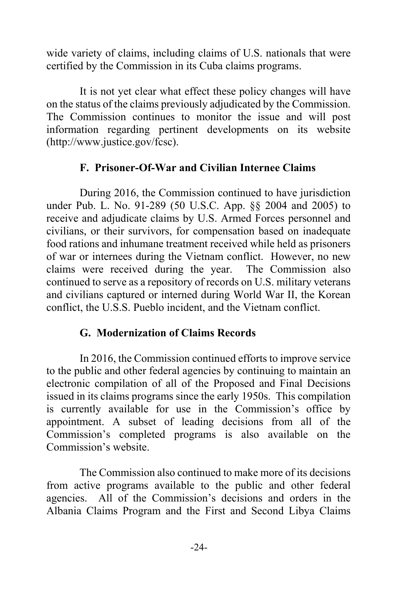wide variety of claims, including claims of U.S. nationals that were certified by the Commission in its Cuba claims programs.

 It is not yet clear what effect these policy changes will have on the status of the claims previously adjudicated by the Commission. The Commission continues to monitor the issue and will post information regarding pertinent developments on its website (http://www.justice.gov/fcsc).

# **F. Prisoner-Of-War and Civilian Internee Claims**

 During 2016, the Commission continued to have jurisdiction under Pub. L. No. 91-289 (50 U.S.C. App. §§ 2004 and 2005) to receive and adjudicate claims by U.S. Armed Forces personnel and civilians, or their survivors, for compensation based on inadequate food rations and inhumane treatment received while held as prisoners of war or internees during the Vietnam conflict. However, no new claims were received during the year. The Commission also continued to serve as a repository of records on U.S. military veterans and civilians captured or interned during World War II, the Korean conflict, the U.S.S. Pueblo incident, and the Vietnam conflict.

### **G. Modernization of Claims Records**

In 2016, the Commission continued efforts to improve service to the public and other federal agencies by continuing to maintain an electronic compilation of all of the Proposed and Final Decisions issued in its claims programs since the early 1950s. This compilation is currently available for use in the Commission's office by appointment. A subset of leading decisions from all of the Commission's completed programs is also available on the Commission's website.

The Commission also continued to make more of its decisions from active programs available to the public and other federal agencies. All of the Commission's decisions and orders in the Albania Claims Program and the First and Second Libya Claims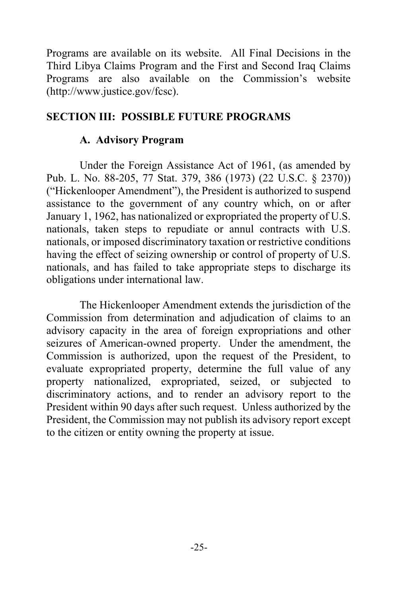Programs are available on its website. All Final Decisions in the Third Libya Claims Program and the First and Second Iraq Claims Programs are also available on the Commission's website (http://www.justice.gov/fcsc).

### **SECTION III: POSSIBLE FUTURE PROGRAMS**

### **A. Advisory Program**

 Under the Foreign Assistance Act of 1961, (as amended by Pub. L. No. 88-205, 77 Stat. 379, 386 (1973) (22 U.S.C. § 2370)) ("Hickenlooper Amendment"), the President is authorized to suspend assistance to the government of any country which, on or after January 1, 1962, has nationalized or expropriated the property of U.S. nationals, taken steps to repudiate or annul contracts with U.S. nationals, or imposed discriminatory taxation or restrictive conditions having the effect of seizing ownership or control of property of U.S. nationals, and has failed to take appropriate steps to discharge its obligations under international law.

 The Hickenlooper Amendment extends the jurisdiction of the Commission from determination and adjudication of claims to an advisory capacity in the area of foreign expropriations and other seizures of American-owned property. Under the amendment, the Commission is authorized, upon the request of the President, to evaluate expropriated property, determine the full value of any property nationalized, expropriated, seized, or subjected to discriminatory actions, and to render an advisory report to the President within 90 days after such request. Unless authorized by the President, the Commission may not publish its advisory report except to the citizen or entity owning the property at issue.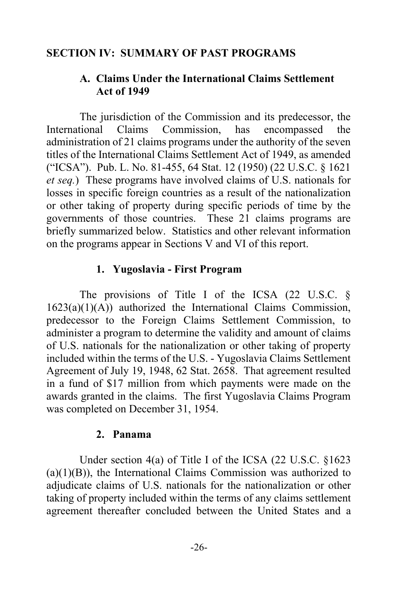#### **SECTION IV: SUMMARY OF PAST PROGRAMS**

### **A. Claims Under the International Claims Settlement Act of 1949**

 The jurisdiction of the Commission and its predecessor, the International Claims Commission, has encompassed the administration of 21 claims programs under the authority of the seven titles of the International Claims Settlement Act of 1949, as amended ("ICSA"). Pub. L. No. 81-455, 64 Stat. 12 (1950) (22 U.S.C. § 1621 *et seq.*) These programs have involved claims of U.S. nationals for losses in specific foreign countries as a result of the nationalization or other taking of property during specific periods of time by the governments of those countries. These 21 claims programs are briefly summarized below. Statistics and other relevant information on the programs appear in Sections V and VI of this report.

#### **1. Yugoslavia - First Program**

The provisions of Title I of the ICSA  $(22 \text{ U.S.C. } \S)$ 1623(a)(1)(A)) authorized the International Claims Commission, predecessor to the Foreign Claims Settlement Commission, to administer a program to determine the validity and amount of claims of U.S. nationals for the nationalization or other taking of property included within the terms of the U.S. - Yugoslavia Claims Settlement Agreement of July 19, 1948, 62 Stat. 2658. That agreement resulted in a fund of \$17 million from which payments were made on the awards granted in the claims. The first Yugoslavia Claims Program was completed on December 31, 1954.

#### **2. Panama**

 Under section 4(a) of Title I of the ICSA (22 U.S.C. §1623  $(a)(1)(B)$ , the International Claims Commission was authorized to adjudicate claims of U.S. nationals for the nationalization or other taking of property included within the terms of any claims settlement agreement thereafter concluded between the United States and a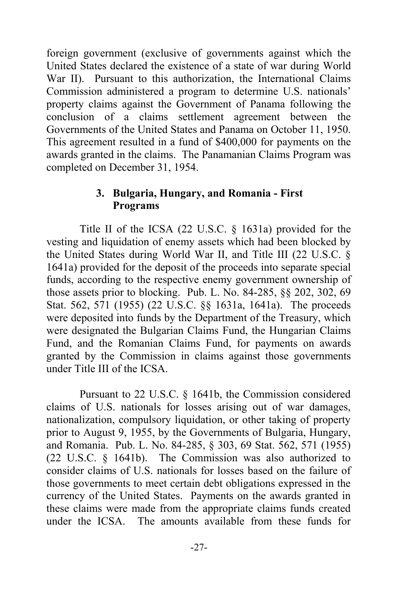foreign government (exclusive of governments against which the United States declared the existence of a state of war during World War II). Pursuant to this authorization, the International Claims Commission administered a program to determine U.S. nationals' property claims against the Government of Panama following the conclusion of a claims settlement agreement between the Governments of the United States and Panama on October 11, 1950. This agreement resulted in a fund of \$400,000 for payments on the awards granted in the claims. The Panamanian Claims Program was completed on December 31, 1954.

### **3. Bulgaria, Hungary, and Romania - First Programs**

 Title II of the ICSA (22 U.S.C. § 1631a) provided for the vesting and liquidation of enemy assets which had been blocked by the United States during World War II, and Title III (22 U.S.C. § 1641a) provided for the deposit of the proceeds into separate special funds, according to the respective enemy government ownership of those assets prior to blocking. Pub. L. No. 84-285, §§ 202, 302, 69 Stat. 562, 571 (1955) (22 U.S.C. §§ 1631a, 1641a). The proceeds were deposited into funds by the Department of the Treasury, which were designated the Bulgarian Claims Fund, the Hungarian Claims Fund, and the Romanian Claims Fund, for payments on awards granted by the Commission in claims against those governments under Title III of the ICSA.

 Pursuant to 22 U.S.C. § 1641b, the Commission considered claims of U.S. nationals for losses arising out of war damages, nationalization, compulsory liquidation, or other taking of property prior to August 9, 1955, by the Governments of Bulgaria, Hungary, and Romania. Pub. L. No. 84-285, § 303, 69 Stat. 562, 571 (1955) (22 U.S.C. § 1641b). The Commission was also authorized to consider claims of U.S. nationals for losses based on the failure of those governments to meet certain debt obligations expressed in the currency of the United States. Payments on the awards granted in these claims were made from the appropriate claims funds created under the ICSA. The amounts available from these funds for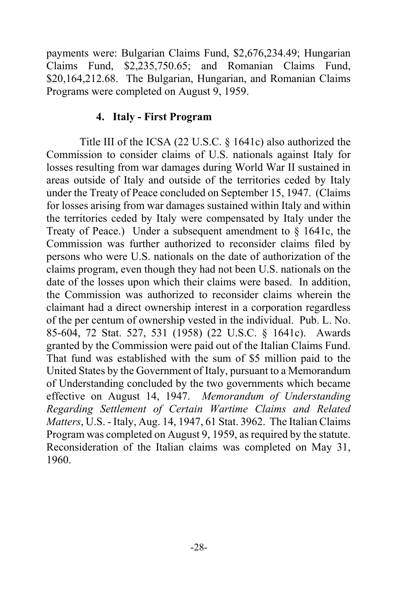payments were: Bulgarian Claims Fund, \$2,676,234.49; Hungarian Claims Fund, \$2,235,750.65; and Romanian Claims Fund, \$20,164,212.68. The Bulgarian, Hungarian, and Romanian Claims Programs were completed on August 9, 1959.

### **4. Italy - First Program**

 Title III of the ICSA (22 U.S.C. § 1641c) also authorized the Commission to consider claims of U.S. nationals against Italy for losses resulting from war damages during World War II sustained in areas outside of Italy and outside of the territories ceded by Italy under the Treaty of Peace concluded on September 15, 1947. (Claims for losses arising from war damages sustained within Italy and within the territories ceded by Italy were compensated by Italy under the Treaty of Peace.) Under a subsequent amendment to § 1641c, the Commission was further authorized to reconsider claims filed by persons who were U.S. nationals on the date of authorization of the claims program, even though they had not been U.S. nationals on the date of the losses upon which their claims were based. In addition, the Commission was authorized to reconsider claims wherein the claimant had a direct ownership interest in a corporation regardless of the per centum of ownership vested in the individual. Pub. L. No. 85-604, 72 Stat. 527, 531 (1958) (22 U.S.C. § 1641c). Awards granted by the Commission were paid out of the Italian Claims Fund. That fund was established with the sum of \$5 million paid to the United States by the Government of Italy, pursuant to a Memorandum of Understanding concluded by the two governments which became effective on August 14, 1947. *Memorandum of Understanding Regarding Settlement of Certain Wartime Claims and Related Matters*, U.S. - Italy, Aug. 14, 1947, 61 Stat. 3962. The Italian Claims Program was completed on August 9, 1959, as required by the statute. Reconsideration of the Italian claims was completed on May 31, 1960.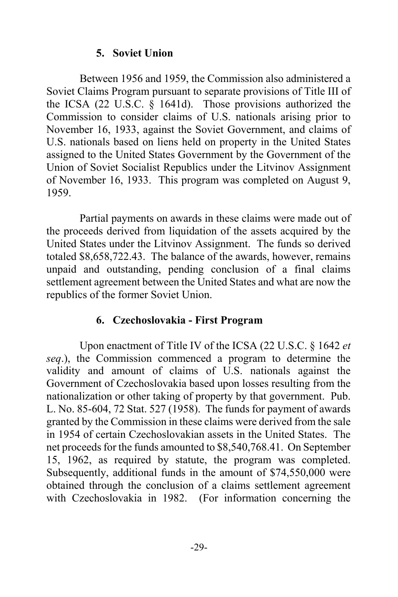### **5. Soviet Union**

 Between 1956 and 1959, the Commission also administered a Soviet Claims Program pursuant to separate provisions of Title III of the ICSA (22 U.S.C. § 1641d). Those provisions authorized the Commission to consider claims of U.S. nationals arising prior to November 16, 1933, against the Soviet Government, and claims of U.S. nationals based on liens held on property in the United States assigned to the United States Government by the Government of the Union of Soviet Socialist Republics under the Litvinov Assignment of November 16, 1933. This program was completed on August 9, 1959.

 Partial payments on awards in these claims were made out of the proceeds derived from liquidation of the assets acquired by the United States under the Litvinov Assignment. The funds so derived totaled \$8,658,722.43. The balance of the awards, however, remains unpaid and outstanding, pending conclusion of a final claims settlement agreement between the United States and what are now the republics of the former Soviet Union.

### **6. Czechoslovakia - First Program**

 Upon enactment of Title IV of the ICSA (22 U.S.C. § 1642 *et seq*.), the Commission commenced a program to determine the validity and amount of claims of U.S. nationals against the Government of Czechoslovakia based upon losses resulting from the nationalization or other taking of property by that government. Pub. L. No. 85-604, 72 Stat. 527 (1958). The funds for payment of awards granted by the Commission in these claims were derived from the sale in 1954 of certain Czechoslovakian assets in the United States. The net proceeds for the funds amounted to \$8,540,768.41. On September 15, 1962, as required by statute, the program was completed. Subsequently, additional funds in the amount of \$74,550,000 were obtained through the conclusion of a claims settlement agreement with Czechoslovakia in 1982. (For information concerning the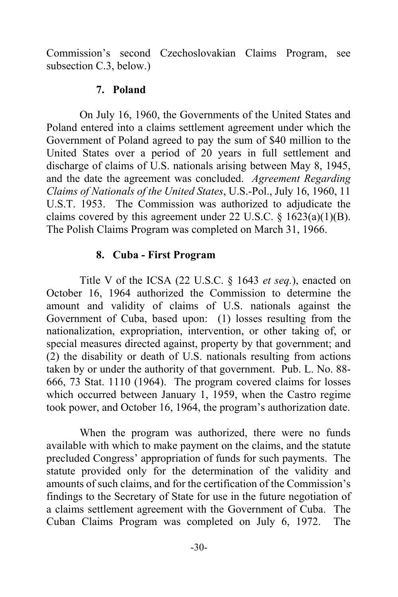Commission's second Czechoslovakian Claims Program, see subsection C.3, below.)

#### **7. Poland**

 On July 16, 1960, the Governments of the United States and Poland entered into a claims settlement agreement under which the Government of Poland agreed to pay the sum of \$40 million to the United States over a period of 20 years in full settlement and discharge of claims of U.S. nationals arising between May 8, 1945, and the date the agreement was concluded. *Agreement Regarding Claims of Nationals of the United States*, U.S.-Pol., July 16, 1960, 11 U.S.T. 1953. The Commission was authorized to adjudicate the claims covered by this agreement under 22 U.S.C.  $\S$  1623(a)(1)(B). The Polish Claims Program was completed on March 31, 1966.

#### **8. Cuba - First Program**

 Title V of the ICSA (22 U.S.C. § 1643 *et seq.*), enacted on October 16, 1964 authorized the Commission to determine the amount and validity of claims of U.S. nationals against the Government of Cuba, based upon: (1) losses resulting from the nationalization, expropriation, intervention, or other taking of, or special measures directed against, property by that government; and (2) the disability or death of U.S. nationals resulting from actions taken by or under the authority of that government. Pub. L. No. 88- 666, 73 Stat. 1110 (1964). The program covered claims for losses which occurred between January 1, 1959, when the Castro regime took power, and October 16, 1964, the program's authorization date.

 When the program was authorized, there were no funds available with which to make payment on the claims, and the statute precluded Congress' appropriation of funds for such payments. The statute provided only for the determination of the validity and amounts of such claims, and for the certification of the Commission's findings to the Secretary of State for use in the future negotiation of a claims settlement agreement with the Government of Cuba. The Cuban Claims Program was completed on July 6, 1972. The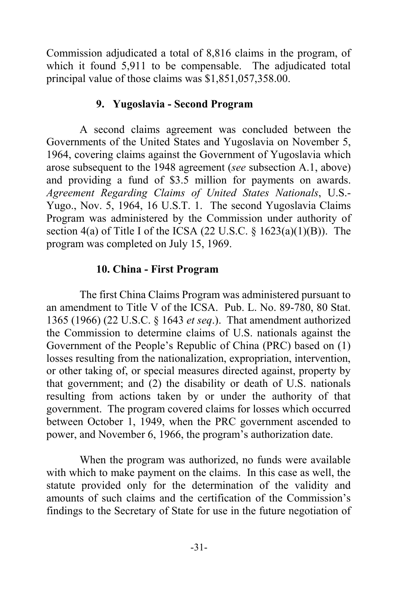Commission adjudicated a total of 8,816 claims in the program, of which it found 5,911 to be compensable. The adjudicated total principal value of those claims was \$1,851,057,358.00.

### **9. Yugoslavia - Second Program**

 A second claims agreement was concluded between the Governments of the United States and Yugoslavia on November 5, 1964, covering claims against the Government of Yugoslavia which arose subsequent to the 1948 agreement (*see* subsection A.1, above) and providing a fund of \$3.5 million for payments on awards. *Agreement Regarding Claims of United States Nationals*, U.S.- Yugo., Nov. 5, 1964, 16 U.S.T. 1. The second Yugoslavia Claims Program was administered by the Commission under authority of section 4(a) of Title I of the ICSA (22 U.S.C.  $\S$  1623(a)(1)(B)). The program was completed on July 15, 1969.

### **10. China - First Program**

 The first China Claims Program was administered pursuant to an amendment to Title V of the ICSA. Pub. L. No. 89-780, 80 Stat. 1365 (1966) (22 U.S.C. § 1643 *et seq*.). That amendment authorized the Commission to determine claims of U.S. nationals against the Government of the People's Republic of China (PRC) based on (1) losses resulting from the nationalization, expropriation, intervention, or other taking of, or special measures directed against, property by that government; and (2) the disability or death of U.S. nationals resulting from actions taken by or under the authority of that government. The program covered claims for losses which occurred between October 1, 1949, when the PRC government ascended to power, and November 6, 1966, the program's authorization date.

 When the program was authorized, no funds were available with which to make payment on the claims. In this case as well, the statute provided only for the determination of the validity and amounts of such claims and the certification of the Commission's findings to the Secretary of State for use in the future negotiation of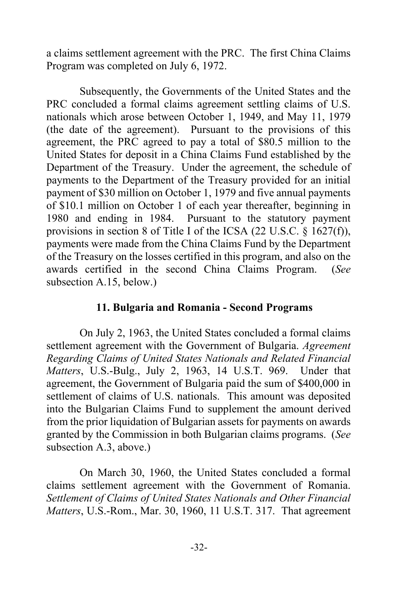a claims settlement agreement with the PRC. The first China Claims Program was completed on July 6, 1972.

 Subsequently, the Governments of the United States and the PRC concluded a formal claims agreement settling claims of U.S. nationals which arose between October 1, 1949, and May 11, 1979 (the date of the agreement). Pursuant to the provisions of this agreement, the PRC agreed to pay a total of \$80.5 million to the United States for deposit in a China Claims Fund established by the Department of the Treasury. Under the agreement, the schedule of payments to the Department of the Treasury provided for an initial payment of \$30 million on October 1, 1979 and five annual payments of \$10.1 million on October 1 of each year thereafter, beginning in 1980 and ending in 1984. Pursuant to the statutory payment provisions in section 8 of Title I of the ICSA (22 U.S.C. § 1627(f)), payments were made from the China Claims Fund by the Department of the Treasury on the losses certified in this program, and also on the awards certified in the second China Claims Program. (*See* subsection A.15, below.)

### **11. Bulgaria and Romania - Second Programs**

 On July 2, 1963, the United States concluded a formal claims settlement agreement with the Government of Bulgaria. *Agreement Regarding Claims of United States Nationals and Related Financial Matters*, U.S.-Bulg., July 2, 1963, 14 U.S.T. 969. Under that agreement, the Government of Bulgaria paid the sum of \$400,000 in settlement of claims of U.S. nationals. This amount was deposited into the Bulgarian Claims Fund to supplement the amount derived from the prior liquidation of Bulgarian assets for payments on awards granted by the Commission in both Bulgarian claims programs. (*See* subsection A.3, above.)

 On March 30, 1960, the United States concluded a formal claims settlement agreement with the Government of Romania. *Settlement of Claims of United States Nationals and Other Financial Matters*, U.S.-Rom., Mar. 30, 1960, 11 U.S.T. 317. That agreement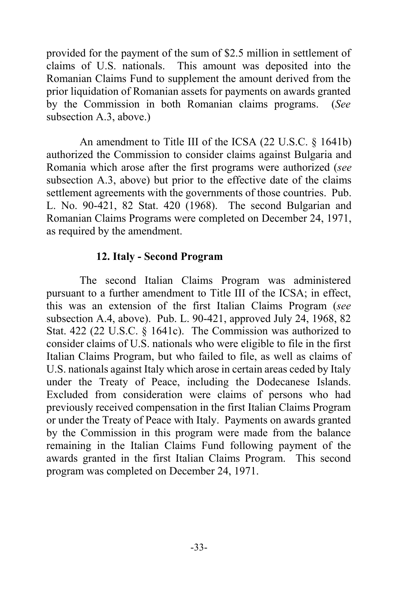provided for the payment of the sum of \$2.5 million in settlement of claims of U.S. nationals. This amount was deposited into the Romanian Claims Fund to supplement the amount derived from the prior liquidation of Romanian assets for payments on awards granted by the Commission in both Romanian claims programs. (*See* subsection A.3, above.)

 An amendment to Title III of the ICSA (22 U.S.C. § 1641b) authorized the Commission to consider claims against Bulgaria and Romania which arose after the first programs were authorized (*see* subsection A.3, above) but prior to the effective date of the claims settlement agreements with the governments of those countries. Pub. L. No. 90-421, 82 Stat. 420 (1968). The second Bulgarian and Romanian Claims Programs were completed on December 24, 1971, as required by the amendment.

### **12. Italy - Second Program**

 The second Italian Claims Program was administered pursuant to a further amendment to Title III of the ICSA; in effect, this was an extension of the first Italian Claims Program (*see* subsection A.4, above). Pub. L. 90-421, approved July 24, 1968, 82 Stat. 422 (22 U.S.C. § 1641c). The Commission was authorized to consider claims of U.S. nationals who were eligible to file in the first Italian Claims Program, but who failed to file, as well as claims of U.S. nationals against Italy which arose in certain areas ceded by Italy under the Treaty of Peace, including the Dodecanese Islands. Excluded from consideration were claims of persons who had previously received compensation in the first Italian Claims Program or under the Treaty of Peace with Italy. Payments on awards granted by the Commission in this program were made from the balance remaining in the Italian Claims Fund following payment of the awards granted in the first Italian Claims Program. This second program was completed on December 24, 1971.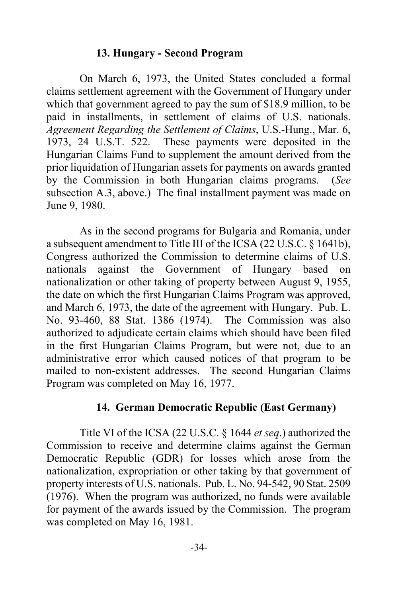#### **13. Hungary - Second Program**

 On March 6, 1973, the United States concluded a formal claims settlement agreement with the Government of Hungary under which that government agreed to pay the sum of \$18.9 million, to be paid in installments, in settlement of claims of U.S. nationals. *Agreement Regarding the Settlement of Claims*, U.S.-Hung., Mar. 6, 1973, 24 U.S.T. 522. These payments were deposited in the Hungarian Claims Fund to supplement the amount derived from the prior liquidation of Hungarian assets for payments on awards granted by the Commission in both Hungarian claims programs. (*See* subsection A.3, above.) The final installment payment was made on June 9, 1980.

 As in the second programs for Bulgaria and Romania, under a subsequent amendment to Title III of the ICSA (22 U.S.C. § 1641b), Congress authorized the Commission to determine claims of U.S. nationals against the Government of Hungary based on nationalization or other taking of property between August 9, 1955, the date on which the first Hungarian Claims Program was approved, and March 6, 1973, the date of the agreement with Hungary. Pub. L. No. 93-460, 88 Stat. 1386 (1974). The Commission was also authorized to adjudicate certain claims which should have been filed in the first Hungarian Claims Program, but were not, due to an administrative error which caused notices of that program to be mailed to non-existent addresses. The second Hungarian Claims Program was completed on May 16, 1977.

#### **14. German Democratic Republic (East Germany)**

 Title VI of the ICSA (22 U.S.C. § 1644 *et seq*.) authorized the Commission to receive and determine claims against the German Democratic Republic (GDR) for losses which arose from the nationalization, expropriation or other taking by that government of property interests of U.S. nationals. Pub. L. No. 94-542, 90 Stat. 2509 (1976). When the program was authorized, no funds were available for payment of the awards issued by the Commission. The program was completed on May 16, 1981.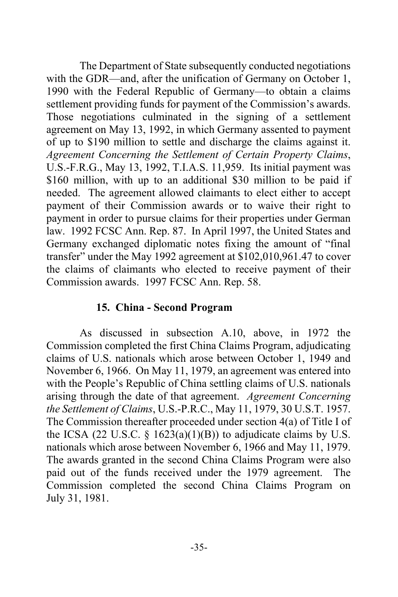The Department of State subsequently conducted negotiations with the GDR—and, after the unification of Germany on October 1, 1990 with the Federal Republic of Germany—to obtain a claims settlement providing funds for payment of the Commission's awards. Those negotiations culminated in the signing of a settlement agreement on May 13, 1992, in which Germany assented to payment of up to \$190 million to settle and discharge the claims against it. *Agreement Concerning the Settlement of Certain Property Claims*, U.S.-F.R.G., May 13, 1992, T.I.A.S. 11,959. Its initial payment was \$160 million, with up to an additional \$30 million to be paid if needed. The agreement allowed claimants to elect either to accept payment of their Commission awards or to waive their right to payment in order to pursue claims for their properties under German law. 1992 FCSC Ann. Rep. 87. In April 1997, the United States and Germany exchanged diplomatic notes fixing the amount of "final transfer" under the May 1992 agreement at \$102,010,961.47 to cover the claims of claimants who elected to receive payment of their Commission awards. 1997 FCSC Ann. Rep. 58.

#### **15. China - Second Program**

 As discussed in subsection A.10, above, in 1972 the Commission completed the first China Claims Program, adjudicating claims of U.S. nationals which arose between October 1, 1949 and November 6, 1966. On May 11, 1979, an agreement was entered into with the People's Republic of China settling claims of U.S. nationals arising through the date of that agreement. *Agreement Concerning the Settlement of Claims*, U.S.-P.R.C., May 11, 1979, 30 U.S.T. 1957. The Commission thereafter proceeded under section 4(a) of Title I of the ICSA (22 U.S.C.  $\S$  1623(a)(1)(B)) to adjudicate claims by U.S. nationals which arose between November 6, 1966 and May 11, 1979. The awards granted in the second China Claims Program were also paid out of the funds received under the 1979 agreement. The Commission completed the second China Claims Program on July 31, 1981.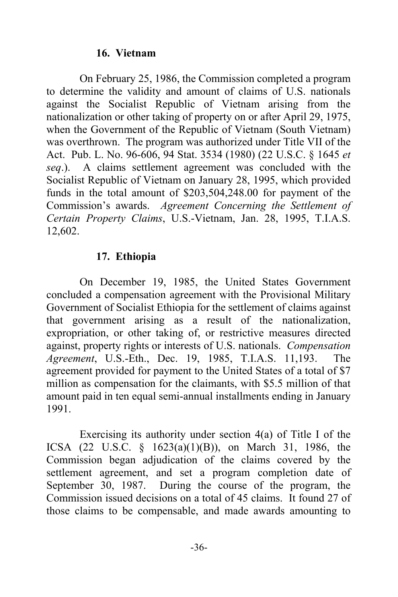### **16. Vietnam**

 On February 25, 1986, the Commission completed a program to determine the validity and amount of claims of U.S. nationals against the Socialist Republic of Vietnam arising from the nationalization or other taking of property on or after April 29, 1975, when the Government of the Republic of Vietnam (South Vietnam) was overthrown. The program was authorized under Title VII of the Act. Pub. L. No. 96-606, 94 Stat. 3534 (1980) (22 U.S.C. § 1645 *et seq*.). A claims settlement agreement was concluded with the Socialist Republic of Vietnam on January 28, 1995, which provided funds in the total amount of \$203,504,248.00 for payment of the Commission's awards. *Agreement Concerning the Settlement of Certain Property Claims*, U.S.-Vietnam, Jan. 28, 1995, T.I.A.S. 12,602.

### **17. Ethiopia**

 On December 19, 1985, the United States Government concluded a compensation agreement with the Provisional Military Government of Socialist Ethiopia for the settlement of claims against that government arising as a result of the nationalization, expropriation, or other taking of, or restrictive measures directed against, property rights or interests of U.S. nationals. *Compensation Agreement*, U.S.-Eth., Dec. 19, 1985, T.I.A.S. 11,193. The agreement provided for payment to the United States of a total of \$7 million as compensation for the claimants, with \$5.5 million of that amount paid in ten equal semi-annual installments ending in January 1991.

 Exercising its authority under section 4(a) of Title I of the ICSA (22 U.S.C. § 1623(a)(1)(B)), on March 31, 1986, the Commission began adjudication of the claims covered by the settlement agreement, and set a program completion date of September 30, 1987. During the course of the program, the Commission issued decisions on a total of 45 claims. It found 27 of those claims to be compensable, and made awards amounting to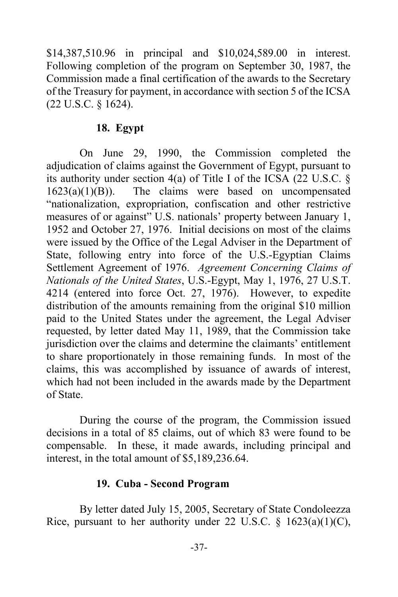\$14,387,510.96 in principal and \$10,024,589.00 in interest. Following completion of the program on September 30, 1987, the Commission made a final certification of the awards to the Secretary of the Treasury for payment, in accordance with section 5 of the ICSA (22 U.S.C. § 1624).

### **18. Egypt**

 On June 29, 1990, the Commission completed the adjudication of claims against the Government of Egypt, pursuant to its authority under section 4(a) of Title I of the ICSA (22 U.S.C. §  $1623(a)(1)(B)$ ). The claims were based on uncompensated "nationalization, expropriation, confiscation and other restrictive measures of or against" U.S. nationals' property between January 1, 1952 and October 27, 1976. Initial decisions on most of the claims were issued by the Office of the Legal Adviser in the Department of State, following entry into force of the U.S.-Egyptian Claims Settlement Agreement of 1976. *Agreement Concerning Claims of Nationals of the United States*, U.S.-Egypt, May 1, 1976, 27 U.S.T. 4214 (entered into force Oct. 27, 1976). However, to expedite distribution of the amounts remaining from the original \$10 million paid to the United States under the agreement, the Legal Adviser requested, by letter dated May 11, 1989, that the Commission take jurisdiction over the claims and determine the claimants' entitlement to share proportionately in those remaining funds. In most of the claims, this was accomplished by issuance of awards of interest, which had not been included in the awards made by the Department of State.

 During the course of the program, the Commission issued decisions in a total of 85 claims, out of which 83 were found to be compensable. In these, it made awards, including principal and interest, in the total amount of \$5,189,236.64.

#### **19. Cuba - Second Program**

 By letter dated July 15, 2005, Secretary of State Condoleezza Rice, pursuant to her authority under 22 U.S.C.  $\frac{1623(a)(1)(C)}{26}$ ,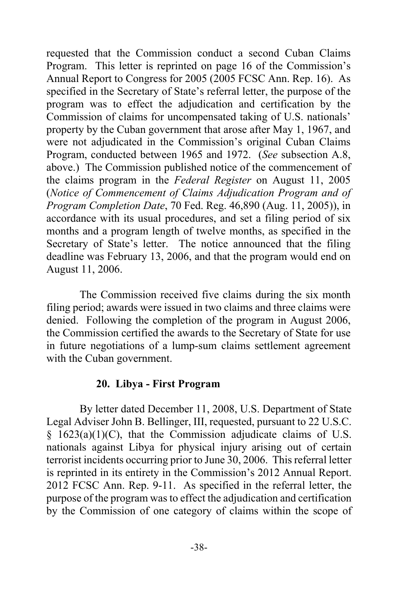requested that the Commission conduct a second Cuban Claims Program. This letter is reprinted on page 16 of the Commission's Annual Report to Congress for 2005 (2005 FCSC Ann. Rep. 16). As specified in the Secretary of State's referral letter, the purpose of the program was to effect the adjudication and certification by the Commission of claims for uncompensated taking of U.S. nationals' property by the Cuban government that arose after May 1, 1967, and were not adjudicated in the Commission's original Cuban Claims Program, conducted between 1965 and 1972. (*See* subsection A.8, above.) The Commission published notice of the commencement of the claims program in the *Federal Register* on August 11, 2005 (*Notice of Commencement of Claims Adjudication Program and of Program Completion Date*, 70 Fed. Reg. 46,890 (Aug. 11, 2005)), in accordance with its usual procedures, and set a filing period of six months and a program length of twelve months, as specified in the Secretary of State's letter. The notice announced that the filing deadline was February 13, 2006, and that the program would end on August 11, 2006.

 The Commission received five claims during the six month filing period; awards were issued in two claims and three claims were denied. Following the completion of the program in August 2006, the Commission certified the awards to the Secretary of State for use in future negotiations of a lump-sum claims settlement agreement with the Cuban government.

#### **20. Libya - First Program**

By letter dated December 11, 2008, U.S. Department of State Legal Adviser John B. Bellinger, III, requested, pursuant to 22 U.S.C.  $§$  1623(a)(1)(C), that the Commission adjudicate claims of U.S. nationals against Libya for physical injury arising out of certain terrorist incidents occurring prior to June 30, 2006. This referral letter is reprinted in its entirety in the Commission's 2012 Annual Report. 2012 FCSC Ann. Rep. 9-11. As specified in the referral letter, the purpose of the program was to effect the adjudication and certification by the Commission of one category of claims within the scope of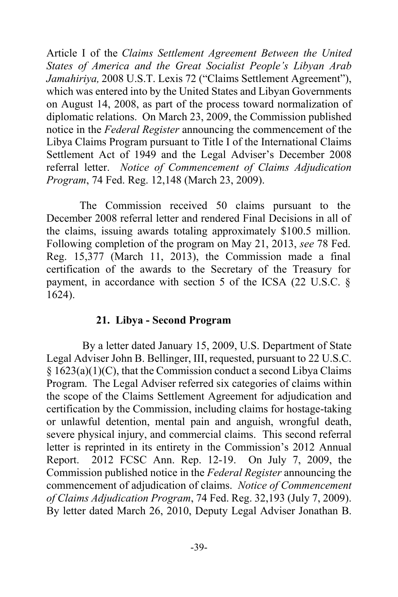Article I of the *Claims Settlement Agreement Between the United States of America and the Great Socialist People's Libyan Arab Jamahiriya,* 2008 U.S.T. Lexis 72 ("Claims Settlement Agreement"), which was entered into by the United States and Libyan Governments on August 14, 2008, as part of the process toward normalization of diplomatic relations. On March 23, 2009, the Commission published notice in the *Federal Register* announcing the commencement of the Libya Claims Program pursuant to Title I of the International Claims Settlement Act of 1949 and the Legal Adviser's December 2008 referral letter. *Notice of Commencement of Claims Adjudication Program*, 74 Fed. Reg. 12,148 (March 23, 2009).

 The Commission received 50 claims pursuant to the December 2008 referral letter and rendered Final Decisions in all of the claims, issuing awards totaling approximately \$100.5 million. Following completion of the program on May 21, 2013, *see* 78 Fed. Reg. 15,377 (March 11, 2013), the Commission made a final certification of the awards to the Secretary of the Treasury for payment, in accordance with section 5 of the ICSA (22 U.S.C. § 1624).

### **21. Libya - Second Program**

 By a letter dated January 15, 2009, U.S. Department of State Legal Adviser John B. Bellinger, III, requested, pursuant to 22 U.S.C.  $§ 1623(a)(1)(C)$ , that the Commission conduct a second Libya Claims Program. The Legal Adviser referred six categories of claims within the scope of the Claims Settlement Agreement for adjudication and certification by the Commission, including claims for hostage-taking or unlawful detention, mental pain and anguish, wrongful death, severe physical injury, and commercial claims. This second referral letter is reprinted in its entirety in the Commission's 2012 Annual Report. 2012 FCSC Ann. Rep. 12-19. On July 7, 2009, the Commission published notice in the *Federal Register* announcing the commencement of adjudication of claims. *Notice of Commencement of Claims Adjudication Program*, 74 Fed. Reg. 32,193 (July 7, 2009). By letter dated March 26, 2010, Deputy Legal Adviser Jonathan B.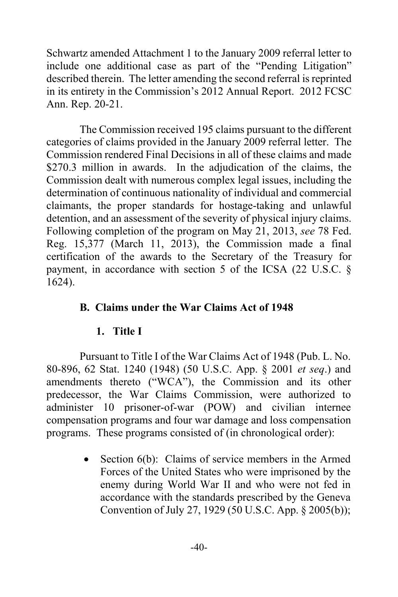Schwartz amended Attachment 1 to the January 2009 referral letter to include one additional case as part of the "Pending Litigation" described therein. The letter amending the second referral is reprinted in its entirety in the Commission's 2012 Annual Report. 2012 FCSC Ann. Rep. 20-21.

The Commission received 195 claims pursuant to the different categories of claims provided in the January 2009 referral letter. The Commission rendered Final Decisions in all of these claims and made \$270.3 million in awards. In the adjudication of the claims, the Commission dealt with numerous complex legal issues, including the determination of continuous nationality of individual and commercial claimants, the proper standards for hostage-taking and unlawful detention, and an assessment of the severity of physical injury claims. Following completion of the program on May 21, 2013, *see* 78 Fed. Reg. 15,377 (March 11, 2013), the Commission made a final certification of the awards to the Secretary of the Treasury for payment, in accordance with section 5 of the ICSA (22 U.S.C. § 1624).

# **B. Claims under the War Claims Act of 1948**

### **1. Title I**

 Pursuant to Title I of the War Claims Act of 1948 (Pub. L. No. 80-896, 62 Stat. 1240 (1948) (50 U.S.C. App. § 2001 *et seq*.) and amendments thereto ("WCA"), the Commission and its other predecessor, the War Claims Commission, were authorized to administer 10 prisoner-of-war (POW) and civilian internee compensation programs and four war damage and loss compensation programs. These programs consisted of (in chronological order):

> • Section 6(b): Claims of service members in the Armed Forces of the United States who were imprisoned by the enemy during World War II and who were not fed in accordance with the standards prescribed by the Geneva Convention of July 27, 1929 (50 U.S.C. App. § 2005(b));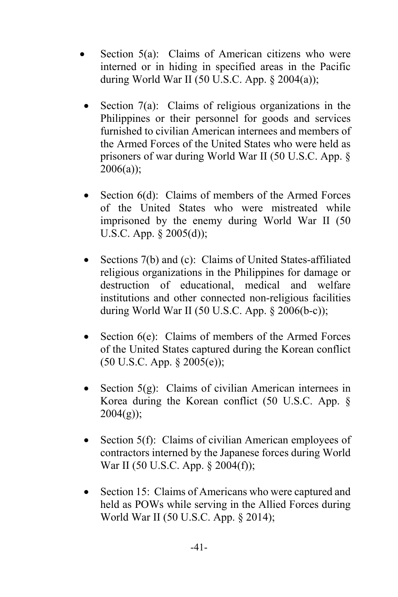- Section 5(a): Claims of American citizens who were interned or in hiding in specified areas in the Pacific during World War II (50 U.S.C. App.  $\S 2004(a)$ );
- Section 7(a): Claims of religious organizations in the Philippines or their personnel for goods and services furnished to civilian American internees and members of the Armed Forces of the United States who were held as prisoners of war during World War II (50 U.S.C. App. § 2006(a));
- Section 6(d): Claims of members of the Armed Forces of the United States who were mistreated while imprisoned by the enemy during World War II (50 U.S.C. App. § 2005(d));
- Sections 7(b) and (c): Claims of United States-affiliated religious organizations in the Philippines for damage or destruction of educational, medical and welfare institutions and other connected non-religious facilities during World War II (50 U.S.C. App. § 2006(b-c));
- Section 6(e): Claims of members of the Armed Forces of the United States captured during the Korean conflict (50 U.S.C. App. § 2005(e));
- Section  $5(g)$ : Claims of civilian American internees in Korea during the Korean conflict (50 U.S.C. App. §  $2004(g)$ ;
- Section 5(f): Claims of civilian American employees of contractors interned by the Japanese forces during World War II (50 U.S.C. App. § 2004(f));
- Section 15: Claims of Americans who were captured and held as POWs while serving in the Allied Forces during World War II (50 U.S.C. App. § 2014);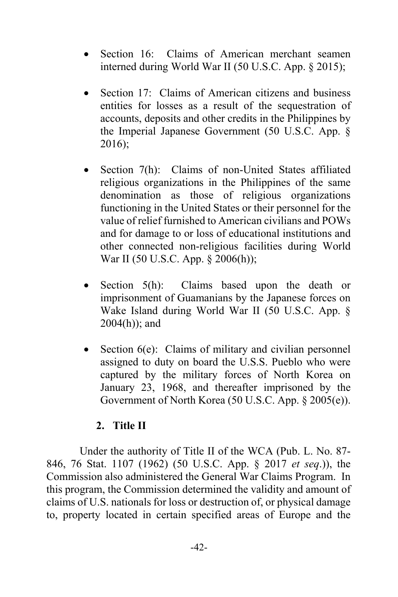- Section 16: Claims of American merchant seamen interned during World War II (50 U.S.C. App. § 2015);
- Section 17: Claims of American citizens and business entities for losses as a result of the sequestration of accounts, deposits and other credits in the Philippines by the Imperial Japanese Government (50 U.S.C. App. § 2016);
- Section 7(h): Claims of non-United States affiliated religious organizations in the Philippines of the same denomination as those of religious organizations functioning in the United States or their personnel for the value of relief furnished to American civilians and POWs and for damage to or loss of educational institutions and other connected non-religious facilities during World War II (50 U.S.C. App. § 2006(h));
- Section 5(h): Claims based upon the death or imprisonment of Guamanians by the Japanese forces on Wake Island during World War II (50 U.S.C. App. § 2004(h)); and
- Section  $6(e)$ : Claims of military and civilian personnel assigned to duty on board the U.S.S. Pueblo who were captured by the military forces of North Korea on January 23, 1968, and thereafter imprisoned by the Government of North Korea (50 U.S.C. App. § 2005(e)).

#### **2. Title II**

 Under the authority of Title II of the WCA (Pub. L. No. 87- 846, 76 Stat. 1107 (1962) (50 U.S.C. App. § 2017 *et seq*.)), the Commission also administered the General War Claims Program. In this program, the Commission determined the validity and amount of claims of U.S. nationals for loss or destruction of, or physical damage to, property located in certain specified areas of Europe and the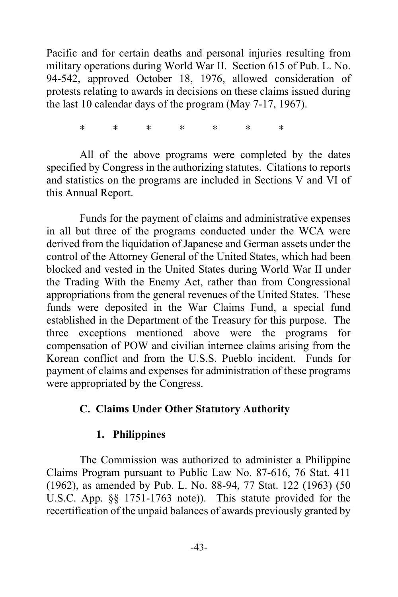Pacific and for certain deaths and personal injuries resulting from military operations during World War II. Section 615 of Pub. L. No. 94-542, approved October 18, 1976, allowed consideration of protests relating to awards in decisions on these claims issued during the last 10 calendar days of the program (May 7-17, 1967).

\* \* \* \* \* \* \*

 All of the above programs were completed by the dates specified by Congress in the authorizing statutes. Citations to reports and statistics on the programs are included in Sections V and VI of this Annual Report.

 Funds for the payment of claims and administrative expenses in all but three of the programs conducted under the WCA were derived from the liquidation of Japanese and German assets under the control of the Attorney General of the United States, which had been blocked and vested in the United States during World War II under the Trading With the Enemy Act, rather than from Congressional appropriations from the general revenues of the United States. These funds were deposited in the War Claims Fund, a special fund established in the Department of the Treasury for this purpose. The three exceptions mentioned above were the programs for compensation of POW and civilian internee claims arising from the Korean conflict and from the U.S.S. Pueblo incident. Funds for payment of claims and expenses for administration of these programs were appropriated by the Congress.

### **C. Claims Under Other Statutory Authority**

#### **1. Philippines**

 The Commission was authorized to administer a Philippine Claims Program pursuant to Public Law No. 87-616, 76 Stat. 411 (1962), as amended by Pub. L. No. 88-94, 77 Stat. 122 (1963) (50 U.S.C. App. §§ 1751-1763 note)). This statute provided for the recertification of the unpaid balances of awards previously granted by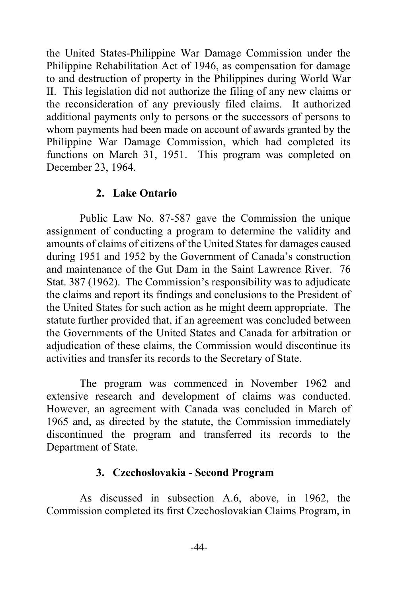the United States-Philippine War Damage Commission under the Philippine Rehabilitation Act of 1946, as compensation for damage to and destruction of property in the Philippines during World War II. This legislation did not authorize the filing of any new claims or the reconsideration of any previously filed claims. It authorized additional payments only to persons or the successors of persons to whom payments had been made on account of awards granted by the Philippine War Damage Commission, which had completed its functions on March 31, 1951. This program was completed on December 23, 1964.

### **2. Lake Ontario**

 Public Law No. 87-587 gave the Commission the unique assignment of conducting a program to determine the validity and amounts of claims of citizens of the United States for damages caused during 1951 and 1952 by the Government of Canada's construction and maintenance of the Gut Dam in the Saint Lawrence River. 76 Stat. 387 (1962). The Commission's responsibility was to adjudicate the claims and report its findings and conclusions to the President of the United States for such action as he might deem appropriate. The statute further provided that, if an agreement was concluded between the Governments of the United States and Canada for arbitration or adjudication of these claims, the Commission would discontinue its activities and transfer its records to the Secretary of State.

 The program was commenced in November 1962 and extensive research and development of claims was conducted. However, an agreement with Canada was concluded in March of 1965 and, as directed by the statute, the Commission immediately discontinued the program and transferred its records to the Department of State.

#### **3. Czechoslovakia - Second Program**

 As discussed in subsection A.6, above, in 1962, the Commission completed its first Czechoslovakian Claims Program, in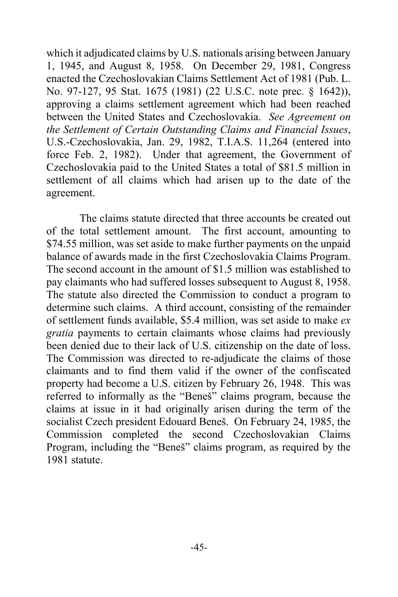which it adjudicated claims by U.S. nationals arising between January 1, 1945, and August 8, 1958. On December 29, 1981, Congress enacted the Czechoslovakian Claims Settlement Act of 1981 (Pub. L. No. 97-127, 95 Stat. 1675 (1981) (22 U.S.C. note prec. § 1642)), approving a claims settlement agreement which had been reached between the United States and Czechoslovakia. *See Agreement on the Settlement of Certain Outstanding Claims and Financial Issues*, U.S.-Czechoslovakia, Jan. 29, 1982, T.I.A.S. 11,264 (entered into force Feb. 2, 1982). Under that agreement, the Government of Czechoslovakia paid to the United States a total of \$81.5 million in settlement of all claims which had arisen up to the date of the agreement.

 The claims statute directed that three accounts be created out of the total settlement amount. The first account, amounting to \$74.55 million, was set aside to make further payments on the unpaid balance of awards made in the first Czechoslovakia Claims Program. The second account in the amount of \$1.5 million was established to pay claimants who had suffered losses subsequent to August 8, 1958. The statute also directed the Commission to conduct a program to determine such claims. A third account, consisting of the remainder of settlement funds available, \$5.4 million, was set aside to make *ex gratia* payments to certain claimants whose claims had previously been denied due to their lack of U.S. citizenship on the date of loss. The Commission was directed to re-adjudicate the claims of those claimants and to find them valid if the owner of the confiscated property had become a U.S. citizen by February 26, 1948. This was referred to informally as the "Beneš" claims program, because the claims at issue in it had originally arisen during the term of the socialist Czech president Edouard Beneš. On February 24, 1985, the Commission completed the second Czechoslovakian Claims Program, including the "Beneš" claims program, as required by the 1981 statute.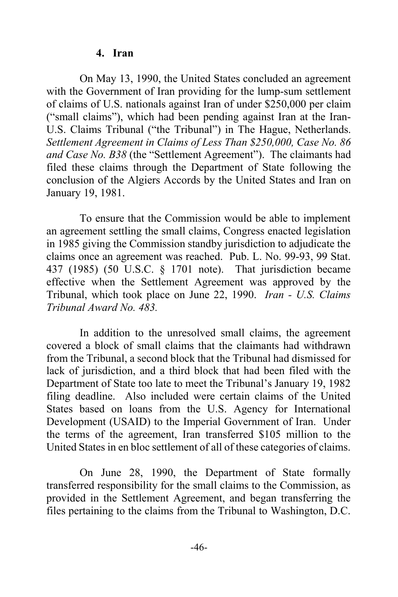#### **4. Iran**

 On May 13, 1990, the United States concluded an agreement with the Government of Iran providing for the lump-sum settlement of claims of U.S. nationals against Iran of under \$250,000 per claim ("small claims"), which had been pending against Iran at the Iran-U.S. Claims Tribunal ("the Tribunal") in The Hague, Netherlands. *Settlement Agreement in Claims of Less Than \$250,000, Case No. 86 and Case No. B38* (the "Settlement Agreement"). The claimants had filed these claims through the Department of State following the conclusion of the Algiers Accords by the United States and Iran on January 19, 1981.

 To ensure that the Commission would be able to implement an agreement settling the small claims, Congress enacted legislation in 1985 giving the Commission standby jurisdiction to adjudicate the claims once an agreement was reached. Pub. L. No. 99-93, 99 Stat. 437 (1985) (50 U.S.C. § 1701 note). That jurisdiction became effective when the Settlement Agreement was approved by the Tribunal, which took place on June 22, 1990. *Iran - U.S. Claims Tribunal Award No. 483.*

 In addition to the unresolved small claims, the agreement covered a block of small claims that the claimants had withdrawn from the Tribunal, a second block that the Tribunal had dismissed for lack of jurisdiction, and a third block that had been filed with the Department of State too late to meet the Tribunal's January 19, 1982 filing deadline. Also included were certain claims of the United States based on loans from the U.S. Agency for International Development (USAID) to the Imperial Government of Iran. Under the terms of the agreement, Iran transferred \$105 million to the United States in en bloc settlement of all of these categories of claims.

 On June 28, 1990, the Department of State formally transferred responsibility for the small claims to the Commission, as provided in the Settlement Agreement, and began transferring the files pertaining to the claims from the Tribunal to Washington, D.C.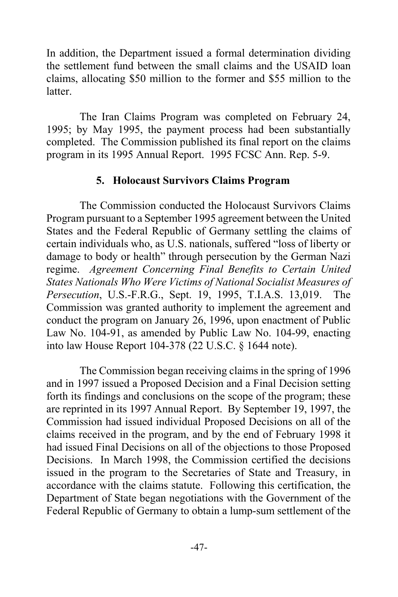In addition, the Department issued a formal determination dividing the settlement fund between the small claims and the USAID loan claims, allocating \$50 million to the former and \$55 million to the latter.

 The Iran Claims Program was completed on February 24, 1995; by May 1995, the payment process had been substantially completed. The Commission published its final report on the claims program in its 1995 Annual Report. 1995 FCSC Ann. Rep. 5-9.

#### **5. Holocaust Survivors Claims Program**

 The Commission conducted the Holocaust Survivors Claims Program pursuant to a September 1995 agreement between the United States and the Federal Republic of Germany settling the claims of certain individuals who, as U.S. nationals, suffered "loss of liberty or damage to body or health" through persecution by the German Nazi regime. *Agreement Concerning Final Benefits to Certain United States Nationals Who Were Victims of National Socialist Measures of Persecution*, U.S.-F.R.G., Sept. 19, 1995, T.I.A.S. 13,019. The Commission was granted authority to implement the agreement and conduct the program on January 26, 1996, upon enactment of Public Law No. 104-91, as amended by Public Law No. 104-99, enacting into law House Report 104-378 (22 U.S.C. § 1644 note).

 The Commission began receiving claims in the spring of 1996 and in 1997 issued a Proposed Decision and a Final Decision setting forth its findings and conclusions on the scope of the program; these are reprinted in its 1997 Annual Report. By September 19, 1997, the Commission had issued individual Proposed Decisions on all of the claims received in the program, and by the end of February 1998 it had issued Final Decisions on all of the objections to those Proposed Decisions. In March 1998, the Commission certified the decisions issued in the program to the Secretaries of State and Treasury, in accordance with the claims statute. Following this certification, the Department of State began negotiations with the Government of the Federal Republic of Germany to obtain a lump-sum settlement of the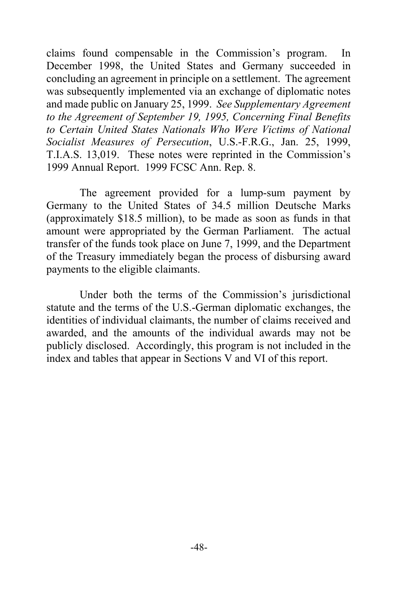claims found compensable in the Commission's program. In December 1998, the United States and Germany succeeded in concluding an agreement in principle on a settlement. The agreement was subsequently implemented via an exchange of diplomatic notes and made public on January 25, 1999. *See Supplementary Agreement to the Agreement of September 19, 1995, Concerning Final Benefits to Certain United States Nationals Who Were Victims of National Socialist Measures of Persecution*, U.S.-F.R.G., Jan. 25, 1999, T.I.A.S. 13,019. These notes were reprinted in the Commission's 1999 Annual Report. 1999 FCSC Ann. Rep. 8.

 The agreement provided for a lump-sum payment by Germany to the United States of 34.5 million Deutsche Marks (approximately \$18.5 million), to be made as soon as funds in that amount were appropriated by the German Parliament. The actual transfer of the funds took place on June 7, 1999, and the Department of the Treasury immediately began the process of disbursing award payments to the eligible claimants.

 Under both the terms of the Commission's jurisdictional statute and the terms of the U.S.-German diplomatic exchanges, the identities of individual claimants, the number of claims received and awarded, and the amounts of the individual awards may not be publicly disclosed. Accordingly, this program is not included in the index and tables that appear in Sections V and VI of this report.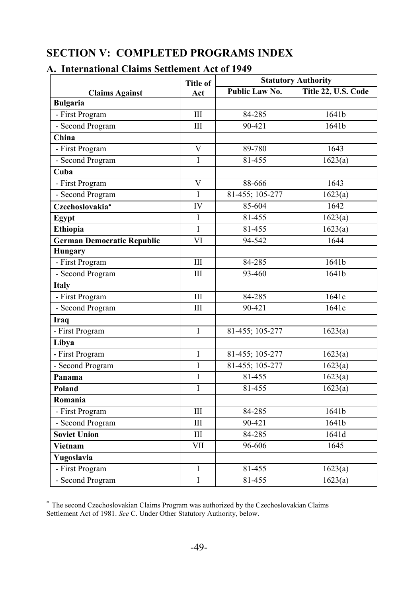# **SECTION V: COMPLETED PROGRAMS INDEX**

|                                   | <b>Title of</b> | <b>Statutory Authority</b>            |                   |  |
|-----------------------------------|-----------------|---------------------------------------|-------------------|--|
| <b>Claims Against</b>             | Act             | Public Law No.<br>Title 22, U.S. Code |                   |  |
| <b>Bulgaria</b>                   |                 |                                       |                   |  |
| - First Program                   | III             | 84-285                                | 1641b             |  |
| - Second Program                  | $\rm III$       | 90-421                                | 1641b             |  |
| China                             |                 |                                       |                   |  |
| - First Program                   | $\overline{V}$  | 89-780                                | 1643              |  |
| - Second Program                  | T               | 81-455                                | 1623(a)           |  |
| Cuba                              |                 |                                       |                   |  |
| - First Program                   | V               | 88-666                                | 1643              |  |
| - Second Program                  | I               | 81-455; 105-277                       | 1623(a)           |  |
| Czechoslovakia*                   | IV              | 85-604                                | 1642              |  |
| Egypt                             | I               | 81-455                                | 1623(a)           |  |
| Ethiopia                          | $\rm I$         | 81-455                                | 1623(a)           |  |
| <b>German Democratic Republic</b> | VI              | 94-542                                | 1644              |  |
| Hungary                           |                 |                                       |                   |  |
| - First Program                   | III             | 84-285                                | 1641b             |  |
| - Second Program                  | IΙI             | 93-460                                | 1641 <sub>b</sub> |  |
| Italy                             |                 |                                       |                   |  |
| - First Program                   | $\rm III$       | 84-285                                | 1641c             |  |
| - Second Program                  | III             | $90 - 421$                            | 1641c             |  |
| <b>Iraq</b>                       |                 |                                       |                   |  |
| - First Program                   | $\mathbf I$     | 81-455; 105-277                       | 1623(a)           |  |
| Libya                             |                 |                                       |                   |  |
| - First Program                   | Ī               | 81-455; 105-277                       | 1623(a)           |  |
| - Second Program                  | $\mathbf{I}$    | 81-455; 105-277                       | 1623(a)           |  |
| Panama                            | $\mathbf{I}$    | 81-455                                | 1623(a)           |  |
| Poland                            | I               | 81-455                                | 1623(a)           |  |
| Romania                           |                 |                                       |                   |  |
| - First Program                   | III             | 84-285                                | 1641b             |  |
| - Second Program                  | III             | 90-421                                | 1641b             |  |
| <b>Soviet Union</b>               | III             | 84-285                                | 1641d             |  |
| <b>Vietnam</b>                    | VII             | 96-606                                | 1645              |  |
| Yugoslavia                        |                 |                                       |                   |  |
| - First Program                   | I               | 81-455                                | 1623(a)           |  |
| - Second Program                  | $\overline{I}$  | 81-455                                | 1623(a)           |  |

#### **A. International Claims Settlement Act of 1949**

 The second Czechoslovakian Claims Program was authorized by the Czechoslovakian Claims Settlement Act of 1981. *See* C. Under Other Statutory Authority, below.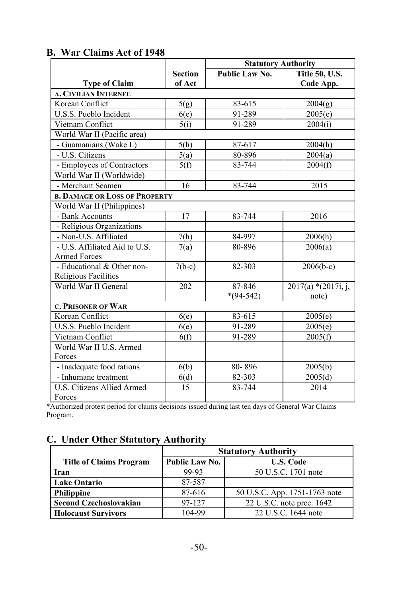|                                      |                | <b>Statutory Authority</b> |                       |
|--------------------------------------|----------------|----------------------------|-----------------------|
|                                      | <b>Section</b> | Public Law No.             | Title 50, U.S.        |
| <b>Type of Claim</b>                 | of Act         |                            | Code App.             |
| <b>A. CIVILIAN INTERNEE</b>          |                |                            |                       |
| Korean Conflict                      | 5(g)           | 83-615                     | 2004(g)               |
| U.S.S. Pueblo Incident               | 6(e)           | 91-289                     | 2005(e)               |
| Vietnam Conflict                     | 5(i)           | 91-289                     | 2004(i)               |
| World War II (Pacific area)          |                |                            |                       |
| - Guamanians (Wake I.)               | 5(h)           | 87-617                     | 2004(h)               |
| - U.S. Citizens                      | 5(a)           | 80-896                     | 2004(a)               |
| - Employees of Contractors           | 5(f)           | 83-744                     | 2004(f)               |
| World War II (Worldwide)             |                |                            |                       |
| - Merchant Seamen                    | 16             | 83-744                     | 2015                  |
| <b>B. DAMAGE OR LOSS OF PROPERTY</b> |                |                            |                       |
| World War II (Philippines)           |                |                            |                       |
| - Bank Accounts                      | 17             | 83-744                     | 2016                  |
| - Religious Organizations            |                |                            |                       |
| - Non-U.S. Affiliated                | 7(h)           | 84-997                     | 2006(h)               |
| - U.S. Affiliated Aid to U.S.        | 7(a)           | 80-896                     | 2006(a)               |
| <b>Armed Forces</b>                  |                |                            |                       |
| - Educational & Other non-           | $7(b-c)$       | 82-303                     | $2006(b-c)$           |
| Religious Facilities                 |                |                            |                       |
| World War II General                 | 202            | 87-846                     | $2017(a)$ *(2017i, j, |
|                                      |                | $*(94-542)$                | note)                 |
| <b>C. PRISONER OF WAR</b>            |                |                            |                       |
| Korean Conflict                      | 6(e)           | 83-615                     | 2005(e)               |
| U.S.S. Pueblo Incident               | 6(e)           | 91-289                     | 2005(e)               |
| Vietnam Conflict                     | 6(f)           | 91-289                     | 2005(f)               |
| World War II U.S. Armed              |                |                            |                       |
| Forces                               |                |                            |                       |
| - Inadequate food rations            | 6(b)           | 80-896                     | 2005(b)               |
| - Inhumane treatment                 | 6(d)           | 82-303                     | 2005(d)               |
| U.S. Citizens Allied Armed           | 15             | 83-744                     | 2014                  |
| Forces                               |                |                            |                       |

### **B. War Claims Act of 1948**

\*Authorized protest period for claims decisions issued during last ten days of General War Claims Program.

### **C. Under Other Statutory Authority**

|                                | <b>Statutory Authority</b>         |                               |  |
|--------------------------------|------------------------------------|-------------------------------|--|
| <b>Title of Claims Program</b> | Public Law No.<br><b>U.S. Code</b> |                               |  |
| Iran                           | 99-93                              | 50 U.S.C. 1701 note           |  |
| <b>Lake Ontario</b>            | 87-587                             |                               |  |
| Philippine                     | 87-616                             | 50 U.S.C. App. 1751-1763 note |  |
| <b>Second Czechoslovakian</b>  | 97-127                             | 22 U.S.C. note prec. 1642     |  |
| <b>Holocaust Survivors</b>     | 104-99                             | 22 U.S.C. 1644 note           |  |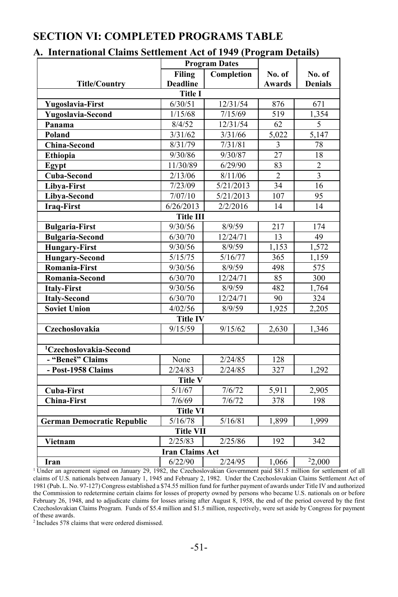# **SECTION VI: COMPLETED PROGRAMS TABLE**

#### **A. International Claims Settlement Act of 1949 (Program Details)**

|                                    | <b>Program Dates</b> |                   |                  |                         |  |
|------------------------------------|----------------------|-------------------|------------------|-------------------------|--|
|                                    | <b>Filing</b>        | Completion        | No. of           | No. of                  |  |
| <b>Title/Country</b>               | <b>Deadline</b>      |                   | Awards           | <b>Denials</b>          |  |
|                                    | <b>Title I</b>       |                   |                  |                         |  |
| <b>Yugoslavia-First</b>            | 6/30/51              | 12/31/54          | 876              | 671                     |  |
| Yugoslavia-Second                  | 1/15/68              | 7/15/69           | $\overline{519}$ | 1,354                   |  |
| Panama                             | 8/4/52               | 12/31/54          | 62               | 5                       |  |
| Poland                             | 3/31/62              | 3/31/66           | 5,022            | 5,147                   |  |
| <b>China-Second</b>                | 8/31/79              | 7/31/81           | 3                | 78                      |  |
| Ethiopia                           | 9/30/86              | 9/30/87           | 27               | 18                      |  |
| Egypt                              | 11/30/89             | 6/29/90           | 83               | $\overline{2}$          |  |
| <b>Cuba-Second</b>                 | 2/13/06              | 8/11/06           | $\overline{2}$   | $\overline{\mathbf{3}}$ |  |
| Libya-First                        | 7/23/09              | 5/21/2013         | $\overline{34}$  | 16                      |  |
| Libya-Second                       | 7/07/10              | 5/21/2013         | 107              | 95                      |  |
| <b>Iraq-First</b>                  | 6/26/2013            | 2/2/2016          | 14               | 14                      |  |
|                                    | <b>Title III</b>     |                   |                  |                         |  |
| <b>Bulgaria-First</b>              | 9/30/56              | 8/9/59            | 217              | 174                     |  |
| <b>Bulgaria-Second</b>             | 6/30/70              | 12/24/71          | 13               | 49                      |  |
| <b>Hungary-First</b>               | 9/30/56              | 8/9/59            | 1,153            | 1,572                   |  |
| <b>Hungary-Second</b>              | 5/15/75              | 5/16/77           | 365              | 1,159                   |  |
| Romania-First                      | 9/30/56              | 8/9/59            | 498              | 575                     |  |
| Romania-Second                     | 6/30/70              | $\frac{12}{2471}$ | 85               | 300                     |  |
| <b>Italy-First</b>                 | 9/30/56              | 8/9/59            | 482              | 1,764                   |  |
| <b>Italy-Second</b>                | 6/30/70              | 12/24/71          | 90               | 324                     |  |
| <b>Soviet Union</b>                | 4/02/56              | 8/9/59            | 1,925            | 2,205                   |  |
|                                    | <b>Title IV</b>      |                   |                  |                         |  |
| Czechoslovakia                     | 9/15/59              | 9/15/62           | 2,630            | 1,346                   |  |
|                                    |                      |                   |                  |                         |  |
| <sup>1</sup> Czechoslovakia-Second |                      |                   |                  |                         |  |
| - "Beneš" Claims                   | None                 | 2/24/85           | 128              |                         |  |
| - Post-1958 Claims                 | 2/24/83              | 2/24/85           | 327              | 1,292                   |  |
|                                    | <b>Title V</b>       |                   |                  |                         |  |
| <b>Cuba-First</b>                  | 5/1/67               | 7/6/72            | 5,911            | 2,905                   |  |
| <b>China-First</b>                 | 7/6/69               | 7/6/72            | 378              | 198                     |  |
|                                    | <b>Title VI</b>      |                   |                  |                         |  |
| <b>German Democratic Republic</b>  | 5/16/78              | 5/16/81           | 1,899            | 1,999                   |  |
|                                    | <b>Title VII</b>     |                   |                  |                         |  |
| Vietnam                            | 2/25/83              | 2/25/86           | 192              | 342                     |  |
| <b>Iran Claims Act</b>             |                      |                   |                  |                         |  |
| Iran                               | 6/22/90              | 2/24/95           | 1,066            | $\overline{^{2}}2,000$  |  |

<sup>1</sup>Under an agreement signed on January 29, 1982, the Czechoslovakian Government paid \$81.5 million for settlement of all claims of U.S. nationals between January 1, 1945 and February 2, 1982. Under the Czechoslovakian Claims Settlement Act of 1981 (Pub. L. No. 97-127) Congress established a \$74.55 million fund for further payment of awards under Title IV and authorized the Commission to redetermine certain claims for losses of property owned by persons who became U.S. nationals on or before February 26, 1948, and to adjudicate claims for losses arising after August 8, 1958, the end of the period covered by the first Czechoslovakian Claims Program. Funds of \$5.4 million and \$1.5 million, respectively, were set aside by Congress for payment of these awards.

2 Includes 578 claims that were ordered dismissed.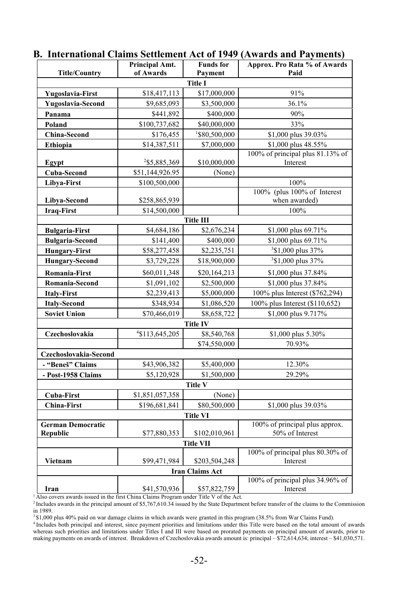|                          | Principal Amt.  | <b>Funds</b> for       | Approx. Pro Rata % of Awards        |  |  |
|--------------------------|-----------------|------------------------|-------------------------------------|--|--|
| <b>Title/Country</b>     | of Awards       | Payment                | Paid                                |  |  |
| <b>Title I</b>           |                 |                        |                                     |  |  |
| <b>Yugoslavia-First</b>  | \$18,417,113    | \$17,000,000           | 91%                                 |  |  |
| Yugoslavia-Second        | \$9,685,093     | \$3,500,000            | 36.1%                               |  |  |
| Panama                   | \$441,892       | \$400,000              | 90%                                 |  |  |
| Poland                   | \$100,737,682   | \$40,000,000           | 33%                                 |  |  |
| <b>China-Second</b>      | \$176,455       | 1\$80,500,000          | \$1,000 plus 39.03%                 |  |  |
| Ethiopia                 | \$14,387,511    | \$7,000,000            | \$1,000 plus 48.55%                 |  |  |
|                          |                 |                        | 100% of principal plus 81.13% of    |  |  |
| Egypt                    | 2\$5,885,369    | \$10,000,000           | Interest                            |  |  |
| Cuba-Second              | \$51,144,926.95 | (None)                 |                                     |  |  |
| Libya-First              | \$100,500,000   |                        | 100%<br>100% (plus 100% of Interest |  |  |
| Libya-Second             | \$258,865,939   |                        | when awarded)                       |  |  |
| <b>Iraq-First</b>        | \$14,500,000    |                        | 100%                                |  |  |
|                          |                 | <b>Title III</b>       |                                     |  |  |
| <b>Bulgaria-First</b>    | \$4,684,186     | \$2,676,234            | \$1,000 plus 69.71%                 |  |  |
| <b>Bulgaria-Second</b>   | \$141,400       | \$400,000              | \$1,000 plus 69.71%                 |  |  |
| <b>Hungary-First</b>     | \$58,277,458    | \$2,235,751            | <sup>3</sup> \$1,000 plus 37%       |  |  |
| <b>Hungary-Second</b>    | \$3,729,228     | \$18,900,000           | <sup>3</sup> \$1,000 plus 37%       |  |  |
| Romania-First            | \$60,011,348    | \$20,164,213           | \$1,000 plus 37.84%                 |  |  |
| Romania-Second           | \$1,091,102     | \$2,500,000            | \$1,000 plus 37.84%                 |  |  |
| <b>Italy-First</b>       | \$2,239,413     | \$5,000,000            | 100% plus Interest (\$762,294)      |  |  |
| <b>Italy-Second</b>      | \$348,934       | \$1,086,520            | 100% plus Interest (\$110,652)      |  |  |
| <b>Soviet Union</b>      | \$70,466,019    | \$8,658,722            | \$1,000 plus 9.717%                 |  |  |
|                          |                 | <b>Title IV</b>        |                                     |  |  |
| Czechoslovakia           | 4\$113,645,205  | \$8,540,768            | \$1,000 plus 5.30%                  |  |  |
|                          |                 | \$74,550,000           | 70.93%                              |  |  |
| Czechoslovakia-Second    |                 |                        |                                     |  |  |
| - "Beneš" Claims         | \$43,906,382    | \$5,400,000            | 12.30%                              |  |  |
| - Post-1958 Claims       | \$5,120,928     | \$1,500,000            | 29.29%                              |  |  |
|                          |                 | <b>Title V</b>         |                                     |  |  |
| <b>Cuba-First</b>        | \$1,851,057,358 | (None)                 |                                     |  |  |
| <b>China-First</b>       | \$196,681,841   | \$80,500,000           | \$1,000 plus 39.03%                 |  |  |
|                          |                 | <b>Title VI</b>        |                                     |  |  |
| <b>German Democratic</b> |                 |                        | 100% of principal plus approx.      |  |  |
| Republic                 | \$77,880,353    | \$102,010,961          | 50% of Interest                     |  |  |
|                          |                 | <b>Title VII</b>       | 100% of principal plus 80.30% of    |  |  |
| Vietnam                  | \$99,471,984    | \$203,504,248          | Interest                            |  |  |
|                          |                 | <b>Iran Claims Act</b> |                                     |  |  |
|                          |                 |                        | 100% of principal plus 34.96% of    |  |  |
| Iran                     | \$41,570,936    | \$57,822,759           | Interest                            |  |  |

#### **B. International Claims Settlement Act of 1949 (Awards and Payments)**

<sup>4</sup> Includes both principal and interest, since payment priorities and limitations under this Title were based on the total amount of awards whereas such priorities and limitations under Titles I and III were based on prorated payments on principal amount of awards, prior to making payments on awards of interest. Breakdown of Czechoslovakia awards amount is: principal – \$72,614,634; interest – \$41,030,571.

<sup>&</sup>lt;sup>1</sup> Also covers awards issued in the first China Claims Program under Title V of the Act.<br><sup>2</sup> Includes awards in the principal amount of \$5,767,610.34 issued by the State Department before transfer of the claims to the Com in 1989.<br><sup>3</sup>\$1,000 plus 40% paid on war damage claims in which awards were granted in this program (38.5% from War Claims Fund).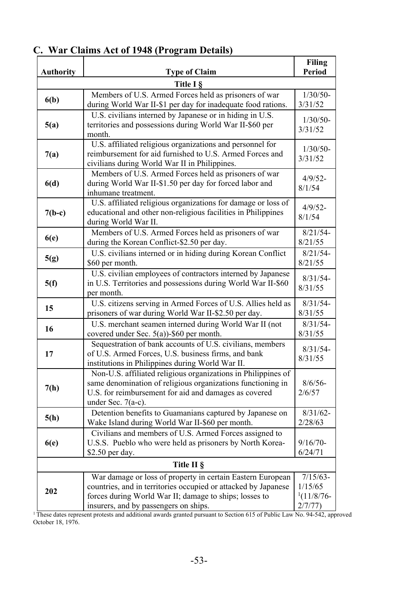|                  | Wal Claims Act of 1740 (110gram Details)                                                                                                                                                                                        | Filing                                            |  |  |
|------------------|---------------------------------------------------------------------------------------------------------------------------------------------------------------------------------------------------------------------------------|---------------------------------------------------|--|--|
| <b>Authority</b> | <b>Type of Claim</b>                                                                                                                                                                                                            | Period                                            |  |  |
| Title I §        |                                                                                                                                                                                                                                 |                                                   |  |  |
| 6(b)             | Members of U.S. Armed Forces held as prisoners of war<br>during World War II-\$1 per day for inadequate food rations.                                                                                                           | $1/30/50-$<br>3/31/52                             |  |  |
| 5(a)             | U.S. civilians interned by Japanese or in hiding in U.S.<br>territories and possessions during World War II-\$60 per<br>month.                                                                                                  | $1/30/50-$<br>3/31/52                             |  |  |
| 7(a)             | U.S. affiliated religious organizations and personnel for<br>reimbursement for aid furnished to U.S. Armed Forces and<br>civilians during World War II in Philippines.                                                          | $1/30/50-$<br>3/31/52                             |  |  |
| 6(d)             | Members of U.S. Armed Forces held as prisoners of war<br>during World War II-\$1.50 per day for forced labor and<br>inhumane treatment.                                                                                         | $4/9/52 -$<br>8/1/54                              |  |  |
| $7(b-c)$         | U.S. affiliated religious organizations for damage or loss of<br>educational and other non-religious facilities in Philippines<br>during World War II.                                                                          | $4/9/52 -$<br>8/1/54                              |  |  |
| 6(e)             | Members of U.S. Armed Forces held as prisoners of war<br>during the Korean Conflict-\$2.50 per day.                                                                                                                             | $8/21/54$ -<br>8/21/55                            |  |  |
| 5(g)             | U.S. civilians interned or in hiding during Korean Conflict<br>\$60 per month.                                                                                                                                                  | $8/21/54$ -<br>8/21/55                            |  |  |
| 5(f)             | U.S. civilian employees of contractors interned by Japanese<br>in U.S. Territories and possessions during World War II-\$60<br>per month.                                                                                       | $8/31/54$ -<br>8/31/55                            |  |  |
| 15               | U.S. citizens serving in Armed Forces of U.S. Allies held as<br>prisoners of war during World War II-\$2.50 per day.                                                                                                            | $8/31/54$ -<br>8/31/55                            |  |  |
| 16               | U.S. merchant seamen interned during World War II (not<br>covered under Sec. 5(a))-\$60 per month.                                                                                                                              | $8/31/54$ -<br>8/31/55                            |  |  |
| 17               | Sequestration of bank accounts of U.S. civilians, members<br>of U.S. Armed Forces, U.S. business firms, and bank<br>institutions in Philippines during World War II.                                                            | $8/31/54$ -<br>8/31/55                            |  |  |
| 7(h)             | Non-U.S. affiliated religious organizations in Philippines of<br>same denomination of religious organizations functioning in<br>U.S. for reimbursement for aid and damages as covered<br>under Sec. 7(a-c).                     | $8/6/56$ -<br>2/6/57                              |  |  |
| 5(h)             | Detention benefits to Guamanians captured by Japanese on<br>Wake Island during World War II-\$60 per month.                                                                                                                     | $8/31/62$ -<br>2/28/63                            |  |  |
| 6(e)             | Civilians and members of U.S. Armed Forces assigned to<br>U.S.S. Pueblo who were held as prisoners by North Korea-<br>\$2.50 per day.                                                                                           | $9/16/70-$<br>6/24/71                             |  |  |
| Title II §       |                                                                                                                                                                                                                                 |                                                   |  |  |
| 202              | War damage or loss of property in certain Eastern European<br>countries, and in territories occupied or attacked by Japanese<br>forces during World War II; damage to ships; losses to<br>insurers, and by passengers on ships. | $7/15/63$ -<br>1/15/65<br>$1(11/8/76 -$<br>2/7/77 |  |  |

### **C. War Claims Act of 1948 (Program Details)**

<sup>1</sup> These dates represent protests and additional awards granted pursuant to Section 615 of Public Law No. 94-542, approved October 18, 1976.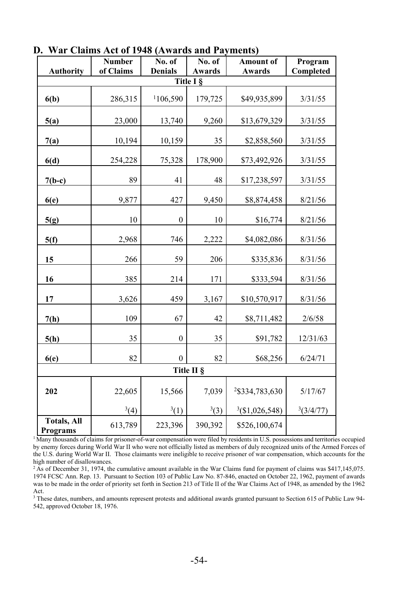|                                | <b>Number</b> | No. of         | No. of                     | <b>Amount of</b> | Program   |  |  |
|--------------------------------|---------------|----------------|----------------------------|------------------|-----------|--|--|
| <b>Authority</b>               | of Claims     | <b>Denials</b> | <b>Awards</b><br>Title I § | <b>Awards</b>    | Completed |  |  |
|                                |               |                |                            |                  |           |  |  |
| 6(b)                           | 286,315       | 106,590        | 179,725                    | \$49,935,899     | 3/31/55   |  |  |
| 5(a)                           | 23,000        | 13,740         | 9,260                      | \$13,679,329     | 3/31/55   |  |  |
| 7(a)                           | 10,194        | 10,159         | 35                         | \$2,858,560      | 3/31/55   |  |  |
| 6(d)                           | 254,228       | 75,328         | 178,900                    | \$73,492,926     | 3/31/55   |  |  |
| $7(b-c)$                       | 89            | 41             | 48                         | \$17,238,597     | 3/31/55   |  |  |
| 6(e)                           | 9,877         | 427            | 9,450                      | \$8,874,458      | 8/21/56   |  |  |
| 5(g)                           | 10            | $\mathbf{0}$   | 10                         | \$16,774         | 8/21/56   |  |  |
| 5(f)                           | 2,968         | 746            | 2,222                      | \$4,082,086      | 8/31/56   |  |  |
| 15                             | 266           | 59             | 206                        | \$335,836        | 8/31/56   |  |  |
| 16                             | 385           | 214            | 171                        | \$333,594        | 8/31/56   |  |  |
| 17                             | 3,626         | 459            | 3,167                      | \$10,570,917     | 8/31/56   |  |  |
| 7(h)                           | 109           | 67             | 42                         | \$8,711,482      | 2/6/58    |  |  |
| 5(h)                           | 35            | $\mathbf{0}$   | 35                         | \$91,782         | 12/31/63  |  |  |
| 6(e)                           | 82            | $\mathbf{0}$   | 82                         | \$68,256         | 6/24/71   |  |  |
| Title II §                     |               |                |                            |                  |           |  |  |
| 202                            | 22,605        | 15,566         | 7,039                      | 2\\$334,783,630  | 5/17/67   |  |  |
|                                | $^{3}(4)$     | 3(1)           | 3(3)                       | 3(1,026,548)     | 3(3/4/77) |  |  |
| <b>Totals, All</b><br>Programs | 613,789       | 223,396        | 390,392                    | \$526,100,674    |           |  |  |

**D. War Claims Act of 1948 (Awards and Payments)** 

<sup>1</sup> Many thousands of claims for prisoner-of-war compensation were filed by residents in U.S. possessions and territories occupied by enemy forces during World War II who were not officially listed as members of duly recognized units of the Armed Forces of the U.S. during World War II. Those claimants were ineligible to receive prisoner of war compensation, which accounts for the high number of disallowances.

<sup>2</sup> As of December 31, 1974, the cumulative amount available in the War Claims fund for payment of claims was \$417,145,075. 1974 FCSC Ann. Rep. 13. Pursuant to Section 103 of Public Law No. 87-846, enacted on October 22, 1962, payment of awards was to be made in the order of priority set forth in Section 213 of Title II of the War Claims Act of 1948, as amended by the 1962 Act.

<sup>3</sup> These dates, numbers, and amounts represent protests and additional awards granted pursuant to Section 615 of Public Law 94-542, approved October 18, 1976.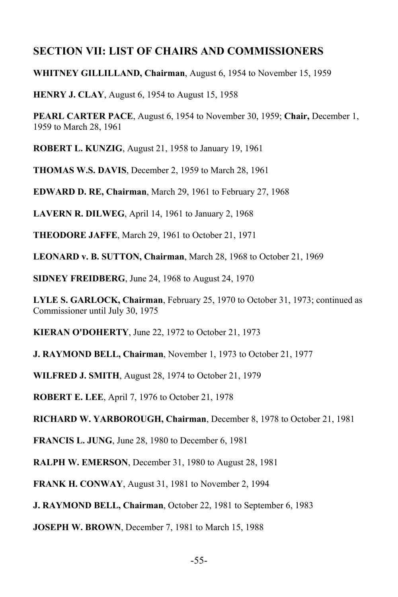### **SECTION VII: LIST OF CHAIRS AND COMMISSIONERS**

**WHITNEY GILLILLAND, Chairman**, August 6, 1954 to November 15, 1959

**HENRY J. CLAY**, August 6, 1954 to August 15, 1958

**PEARL CARTER PACE**, August 6, 1954 to November 30, 1959; **Chair,** December 1, 1959 to March 28, 1961

**ROBERT L. KUNZIG**, August 21, 1958 to January 19, 1961

**THOMAS W.S. DAVIS**, December 2, 1959 to March 28, 1961

**EDWARD D. RE, Chairman**, March 29, 1961 to February 27, 1968

**LAVERN R. DILWEG**, April 14, 1961 to January 2, 1968

**THEODORE JAFFE**, March 29, 1961 to October 21, 1971

**LEONARD v. B. SUTTON, Chairman**, March 28, 1968 to October 21, 1969

**SIDNEY FREIDBERG**, June 24, 1968 to August 24, 1970

**LYLE S. GARLOCK, Chairman**, February 25, 1970 to October 31, 1973; continued as Commissioner until July 30, 1975

**KIERAN O'DOHERTY**, June 22, 1972 to October 21, 1973

**J. RAYMOND BELL, Chairman**, November 1, 1973 to October 21, 1977

**WILFRED J. SMITH**, August 28, 1974 to October 21, 1979

**ROBERT E. LEE**, April 7, 1976 to October 21, 1978

**RICHARD W. YARBOROUGH, Chairman**, December 8, 1978 to October 21, 1981

**FRANCIS L. JUNG**, June 28, 1980 to December 6, 1981

**RALPH W. EMERSON**, December 31, 1980 to August 28, 1981

**FRANK H. CONWAY**, August 31, 1981 to November 2, 1994

**J. RAYMOND BELL, Chairman**, October 22, 1981 to September 6, 1983

**JOSEPH W. BROWN**, December 7, 1981 to March 15, 1988